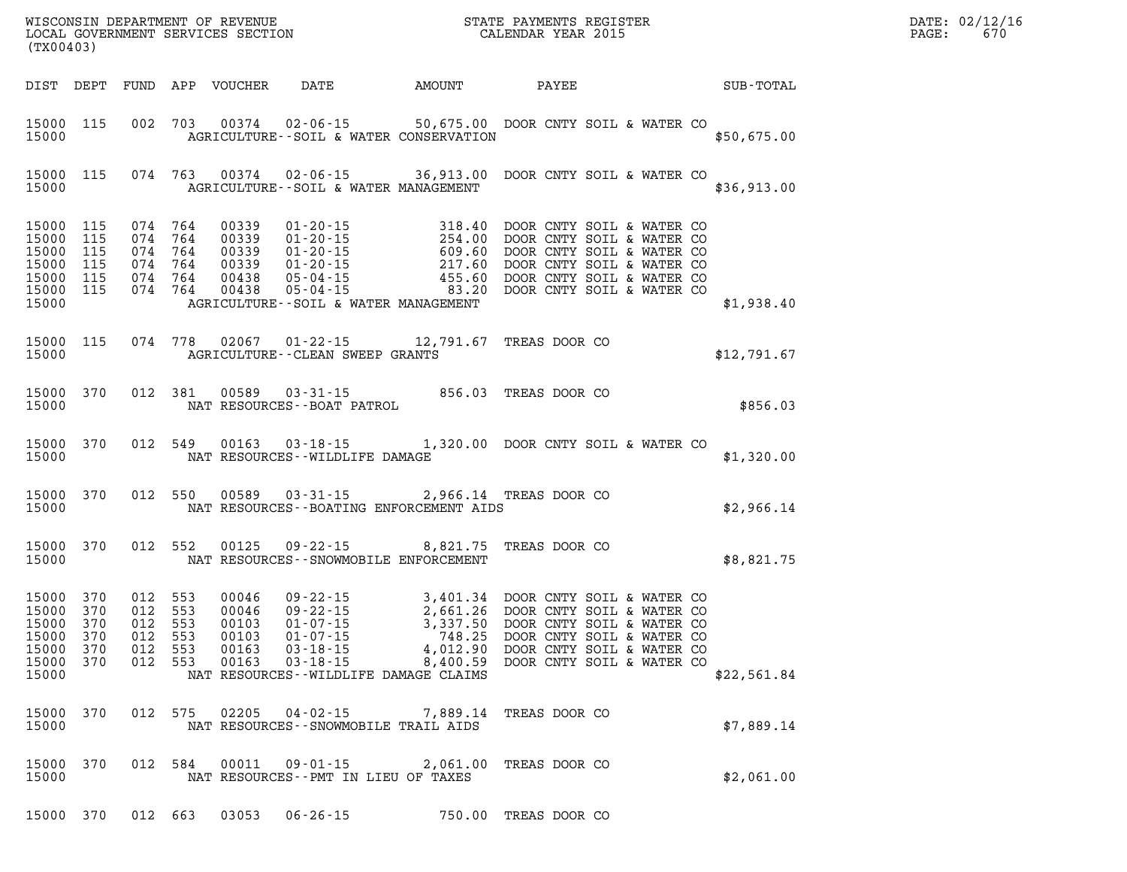| DATE: | 02/12/16 |
|-------|----------|
| PAGE: | 670      |

| (TX00403)                                                                           |                    |                               |         |                                         | WISCONSIN DEPARTMENT OF REVENUE<br>LOCAL GOVERNMENT SERVICES SECTION CALENDAR YEAR 2015                                                                                                                                                                                                                                                                                  | TER EXECUTIVE STATE OF THE STATE OF THE STATE OF THE STATE OF THE STATE OF THE STATE OF THE STATE OF THE STATE<br>DATE: 02/12/1<br>$\mathtt{PAGE}$ :<br>670 |  |
|-------------------------------------------------------------------------------------|--------------------|-------------------------------|---------|-----------------------------------------|--------------------------------------------------------------------------------------------------------------------------------------------------------------------------------------------------------------------------------------------------------------------------------------------------------------------------------------------------------------------------|-------------------------------------------------------------------------------------------------------------------------------------------------------------|--|
|                                                                                     |                    |                               |         |                                         | DIST DEPT FUND APP VOUCHER DATE AMOUNT PAYEE SUB-TOTAL                                                                                                                                                                                                                                                                                                                   |                                                                                                                                                             |  |
|                                                                                     |                    |                               |         |                                         | 15000 115 002 703 00374 02-06-15 50,675.00 DOOR CNTY SOIL & WATER CO<br>15000 AGRICULTURE--SOIL & WATER CONSERVATION                                                                                                                                                                                                                                                     | \$50,675.00                                                                                                                                                 |  |
| 15000                                                                               |                    |                               |         | AGRICULTURE--SOIL & WATER MANAGEMENT    | 15000 115 074 763 00374 02-06-15 36,913.00 DOOR CNTY SOIL & WATER CO                                                                                                                                                                                                                                                                                                     | \$36,913.00                                                                                                                                                 |  |
| 15000 115<br>15000 115<br>15000 115<br>15000 115<br>15000 115                       | 15000 115<br>15000 |                               |         | AGRICULTURE--SOIL & WATER MANAGEMENT    | $\begin{array}{cccc} 074 & 764 & 00339 & 01\text{-}20\text{-}15 & 318.40 & \text{DOOR CNTY } \text{SOL} \text{ & \& } \text{WATER CO} \\ 074 & 764 & 00339 & 01\text{-}20\text{-}15 & 254.00 & \text{DOOR CNTY } \text{SOLI} \text{ & \& } \text{WATER CO} \\ 074 & 764 & 00339 & 01\text{-}20\text{-}15 & 609.60 & \text{DOOR CNTY } \text{SOLI} \text{ & \& } \text{W$ | \$1,938.40                                                                                                                                                  |  |
|                                                                                     |                    |                               |         | 15000 AGRICULTURE - CLEAN SWEEP GRANTS  | 15000 115 074 778 02067 01-22-15 12,791.67 TREAS DOOR CO                                                                                                                                                                                                                                                                                                                 | \$12,791.67                                                                                                                                                 |  |
|                                                                                     |                    |                               |         |                                         | $\begin{tabular}{lllllll} 15000 & 370 & 012 & 381 & 00589 & 03-31-15 & 856.03 \end{tabular} \begin{tabular}{lllll} \bf 15000 & 012 & 381 & 00589 & 03-31-15 & 856.03 \end{tabular} \begin{tabular}{lllll} \bf 15000 & \tt 15000 & 0.000 & 0.000 & 0.000 & 0.000 & 0.000 & 0.000 & 0.000 & 0.000 & 0.000 & 0.000 &$                                                       | \$856.03                                                                                                                                                    |  |
|                                                                                     | 15000              |                               |         | NAT RESOURCES - WILDLIFE DAMAGE         | 15000 370 012 549 00163 03-18-15 1,320.00 DOOR CNTY SOIL & WATER CO                                                                                                                                                                                                                                                                                                      | \$1,320.00                                                                                                                                                  |  |
|                                                                                     |                    |                               |         |                                         | 15000 370 012 550 00589 03-31-15 2,966.14 TREAS DOOR CO<br>15000 NAT RESOURCES--BOATING ENFORCEMENT AIDS                                                                                                                                                                                                                                                                 | \$2,966.14                                                                                                                                                  |  |
|                                                                                     | 15000              |                               |         | NAT RESOURCES -- SNOWMOBILE ENFORCEMENT | 15000 370 012 552 00125 09-22-15 8,821.75 TREAS DOOR CO                                                                                                                                                                                                                                                                                                                  | \$8,821.75                                                                                                                                                  |  |
| 15000 370<br>15000 370<br>15000 370<br>15000 370<br>15000 370<br>15000 370<br>15000 |                    | 012 553<br>012 553<br>012 553 | 012 553 | NAT RESOURCES--WILDLIFE DAMAGE CLAIMS   | 00046 09-22-15 3,401.34 DOOR CNTY SOIL & WATER CO<br>00046 09-22-15 2,661.26 DOOR CNTY SOIL & WATER CO<br>00103 01-07-15 3,337.50 DOOR CNTY SOIL & WATER CO<br>00103 01-07-15 748.25 DOOR CNTY SOIL & WATER CO<br>00163 03-18-15 4.012<br>012 553 00163 03-18-15 4,012.90 DOOR CNTY SOIL & WATER CO<br>012 553 00163 03-18-15 8,400.59 DOOR CNTY SOIL & WATER CO         | \$22,561.84                                                                                                                                                 |  |
| 15000 370<br>15000                                                                  |                    |                               |         | NAT RESOURCES - - SNOWMOBILE TRAIL AIDS | 012 575 02205 04-02-15 7,889.14 TREAS DOOR CO                                                                                                                                                                                                                                                                                                                            | \$7,889.14                                                                                                                                                  |  |
| 15000 370<br>15000                                                                  |                    |                               |         | NAT RESOURCES -- PMT IN LIEU OF TAXES   | 012 584 00011 09-01-15 2,061.00 TREAS DOOR CO                                                                                                                                                                                                                                                                                                                            | \$2,061.00                                                                                                                                                  |  |
|                                                                                     |                    |                               |         |                                         |                                                                                                                                                                                                                                                                                                                                                                          |                                                                                                                                                             |  |

**15000 370 012 663 03053 06-26-15 750.00 TREAS DOOR CO**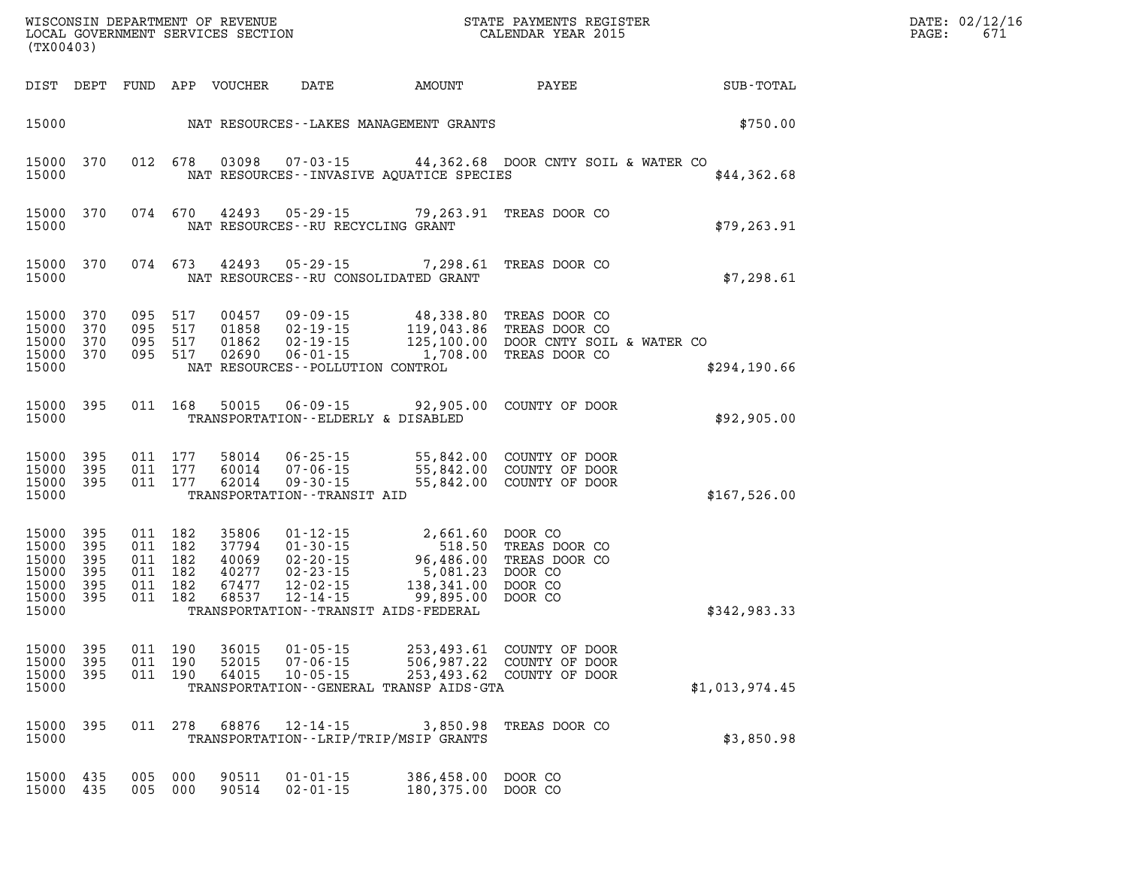| DATE: | 02/12/16 |
|-------|----------|
| PAGE: | 671      |

| (TX00403)                                                           |                                              |            |                                                                |                            |                                      |                                                                                                                                                                                                                                                                                               | WISCONSIN DEPARTMENT OF REVENUE<br>LOCAL GOVERNMENT SERVICES SECTION<br>CALENDAR YEAR 2015                                             |                             | DATE: 02/12/1<br>PAGE:<br>671 |
|---------------------------------------------------------------------|----------------------------------------------|------------|----------------------------------------------------------------|----------------------------|--------------------------------------|-----------------------------------------------------------------------------------------------------------------------------------------------------------------------------------------------------------------------------------------------------------------------------------------------|----------------------------------------------------------------------------------------------------------------------------------------|-----------------------------|-------------------------------|
|                                                                     |                                              |            |                                                                | DIST DEPT FUND APP VOUCHER |                                      |                                                                                                                                                                                                                                                                                               |                                                                                                                                        | DATE AMOUNT PAYEE SUB-TOTAL |                               |
|                                                                     | 15000 NAT RESOURCES--LAKES MANAGEMENT GRANTS |            |                                                                |                            |                                      |                                                                                                                                                                                                                                                                                               |                                                                                                                                        | \$750.00                    |                               |
| 15000                                                               | 15000 370                                    |            |                                                                |                            |                                      | NAT RESOURCES -- INVASIVE AQUATICE SPECIES                                                                                                                                                                                                                                                    | 012 678 03098 07-03-15 44,362.68 DOOR CNTY SOIL & WATER CO                                                                             | \$44,362.68                 |                               |
| 15000                                                               | 15000 370                                    |            |                                                                | 074 670 42493              | NAT RESOURCES - - RU RECYCLING GRANT | 05-29-15 79,263.91 TREAS DOOR CO                                                                                                                                                                                                                                                              |                                                                                                                                        | \$79, 263.91                |                               |
| 15000                                                               | 15000 370                                    |            |                                                                | 074 673 42493              |                                      | 05-29-15 7,298.61 TREAS DOOR CO<br>NAT RESOURCES--RU CONSOLIDATED GRANT                                                                                                                                                                                                                       |                                                                                                                                        | \$7,298.61                  |                               |
| 15000<br>15000<br>15000                                             | 15000 370<br>370<br>370<br>15000 370         |            | 095 517<br>095 517<br>095 517                                  | 00457<br>01858<br>01862    | NAT RESOURCES--POLLUTION CONTROL     | 095 517 02690 06-01-15 1,708.00 TREAS DOOR CO                                                                                                                                                                                                                                                 | 09-09-15 48,338.80 TREAS DOOR CO<br>02-19-15 119,043.86 TREAS DOOR CO<br>02-19-15 125,100.00 DOOR CNTY SOIL & WATER CO                 | \$294,190.66                |                               |
| 15000                                                               | 15000 395                                    |            |                                                                |                            | TRANSPORTATION--ELDERLY & DISABLED   |                                                                                                                                                                                                                                                                                               | 011 168 50015 06-09-15 92,905.00 COUNTY OF DOOR                                                                                        | \$92,905.00                 |                               |
| 15000<br>15000 395<br>15000                                         | 15000 395<br>395                             |            | 011 177<br>011 177<br>011 177                                  |                            | TRANSPORTATION - - TRANSIT AID       |                                                                                                                                                                                                                                                                                               | 58014  06-25-15  55,842.00  COUNTY OF DOOR<br>60014  07-06-15  55,842.00  COUNTY OF DOOR<br>62014  09-30-15  55,842.00  COUNTY OF DOOR | \$167,526.00                |                               |
| 15000 395<br>15000<br>15000<br>15000<br>15000<br>15000 395<br>15000 | 395<br>395<br>395<br>395                     |            | 011 182<br>011 182<br>011 182<br>011 182<br>011 182<br>011 182 |                            |                                      | 35806 01-12-15 2,661.60 DOOR CO<br>37794 01-30-15 518.50 TREAS DOOR CO<br>40069 02-20-15 96,486.00 TREAS DOOR CO<br>40277 02-23-15 5,081.23 DOOR CO<br>67477 12-02-15 138,341.00 DOOR CO<br>68537 12-14-15 99,895.00 DOOR CO<br>68537 12-14-15 5<br>TRANSPORTATION - - TRANSIT AIDS - FEDERAL |                                                                                                                                        | \$342,983.33                |                               |
| 15000 395<br>15000<br>15000                                         | - 395                                        |            | 011 190<br>011 190                                             | 52015<br>64015             | 07-06-15<br>$10 - 05 - 15$           | 15000 395 011 190 36015 01-05-15 253,493.61 COUNTY OF DOOR<br>253,493.62 COUNTY OF DOOR<br>TRANSPORTATION--GENERAL TRANSP AIDS-GTA                                                                                                                                                            | 506,987.22 COUNTY OF DOOR                                                                                                              | \$1,013,974.45              |                               |
| 15000<br>15000                                                      | 395                                          |            | 011 278                                                        | 68876                      | 12-14-15                             | 3,850.98<br>TRANSPORTATION - - LRIP/TRIP/MSIP GRANTS                                                                                                                                                                                                                                          | TREAS DOOR CO                                                                                                                          | \$3,850.98                  |                               |
| 15000 435<br>15000 435                                              |                                              | 005<br>005 | 000<br>000                                                     | 90511<br>90514             | $01 - 01 - 15$<br>$02 - 01 - 15$     | 386,458.00 DOOR CO<br>180,375.00 DOOR CO                                                                                                                                                                                                                                                      |                                                                                                                                        |                             |                               |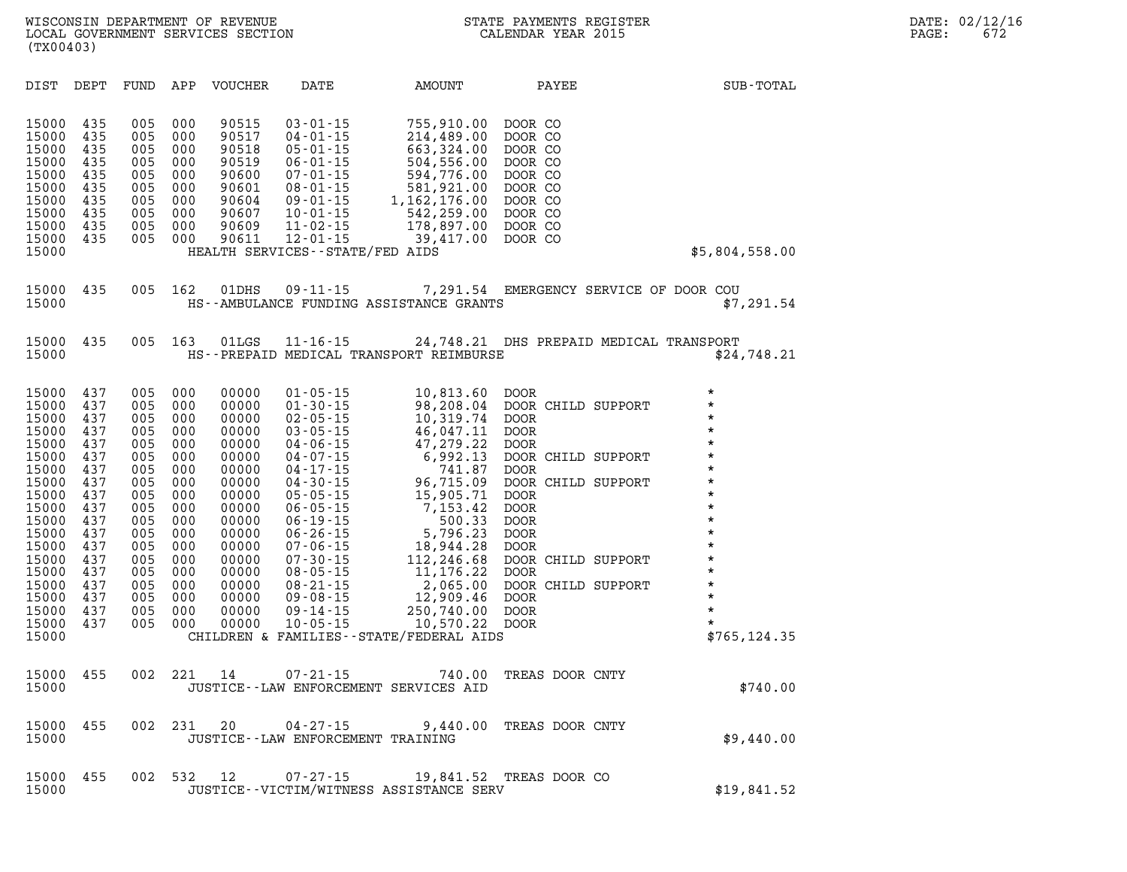| DIST                                                                                                                                                                             | DEPT                                                                                                                              | FUND                                                                                                                              | APP                                                                                                                               | <b>VOUCHER</b>                                                                                                                                                          | DATE                                                                                                                                                                                                                                                                                                                                               | AMOUNT                                                                                                                                                                                                                                                                                 | PAYEE                                                                                                                                                                                                                                                                                                          |                                         | SUB-TOTAL                                                                                                                                                                                                                           |
|----------------------------------------------------------------------------------------------------------------------------------------------------------------------------------|-----------------------------------------------------------------------------------------------------------------------------------|-----------------------------------------------------------------------------------------------------------------------------------|-----------------------------------------------------------------------------------------------------------------------------------|-------------------------------------------------------------------------------------------------------------------------------------------------------------------------|----------------------------------------------------------------------------------------------------------------------------------------------------------------------------------------------------------------------------------------------------------------------------------------------------------------------------------------------------|----------------------------------------------------------------------------------------------------------------------------------------------------------------------------------------------------------------------------------------------------------------------------------------|----------------------------------------------------------------------------------------------------------------------------------------------------------------------------------------------------------------------------------------------------------------------------------------------------------------|-----------------------------------------|-------------------------------------------------------------------------------------------------------------------------------------------------------------------------------------------------------------------------------------|
| 15000<br>15000<br>15000<br>15000<br>15000<br>15000<br>15000<br>15000<br>15000<br>15000<br>15000                                                                                  | 435<br>435<br>435<br>435<br>435<br>435<br>435<br>435<br>435<br>435                                                                | 005<br>005<br>005<br>005<br>005<br>005<br>005<br>005<br>005<br>005                                                                | 000<br>000<br>000<br>000<br>000<br>000<br>000<br>000<br>000<br>000                                                                | 90515<br>90517<br>90518<br>90519<br>90600<br>90601<br>90604<br>90607<br>90609<br>90611                                                                                  | $03 - 01 - 15$<br>$04 - 01 - 15$<br>$05 - 01 - 15$<br>$06 - 01 - 15$<br>$07 - 01 - 15$<br>$08 - 01 - 15$<br>$09 - 01 - 15$<br>$10 - 01 - 15$<br>$11 - 02 - 15$<br>$12 - 01 - 15$<br>HEALTH SERVICES--STATE/FED AIDS                                                                                                                                | 755,910.00<br>214,489.00<br>663,324.00<br>504,556.00<br>594,776.00<br>581,921.00<br>1, 162, 176.00<br>542,259.00<br>178,897.00<br>39,417.00                                                                                                                                            | DOOR CO<br>DOOR CO<br>DOOR CO<br>DOOR CO<br>DOOR CO<br>DOOR CO<br>DOOR CO<br>DOOR CO<br>DOOR CO<br>DOOR CO                                                                                                                                                                                                     |                                         | \$5,804,558.00                                                                                                                                                                                                                      |
| 15000<br>15000                                                                                                                                                                   | 435                                                                                                                               | 005                                                                                                                               | 162                                                                                                                               | 01DHS                                                                                                                                                                   | $09 - 11 - 15$                                                                                                                                                                                                                                                                                                                                     | HS--AMBULANCE FUNDING ASSISTANCE GRANTS                                                                                                                                                                                                                                                |                                                                                                                                                                                                                                                                                                                | 7,291.54 EMERGENCY SERVICE OF DOOR COU  | \$7,291.54                                                                                                                                                                                                                          |
| 15000<br>15000                                                                                                                                                                   | 435                                                                                                                               | 005                                                                                                                               | 163                                                                                                                               | 01LGS                                                                                                                                                                   | $11 - 16 - 15$                                                                                                                                                                                                                                                                                                                                     | HS--PREPAID MEDICAL TRANSPORT REIMBURSE                                                                                                                                                                                                                                                |                                                                                                                                                                                                                                                                                                                | 24,748.21 DHS PREPAID MEDICAL TRANSPORT | \$24,748.21                                                                                                                                                                                                                         |
| 15000<br>15000<br>15000<br>15000<br>15000<br>15000<br>15000<br>15000<br>15000<br>15000<br>15000<br>15000<br>15000<br>15000<br>15000<br>15000<br>15000<br>15000<br>15000<br>15000 | 437<br>437<br>437<br>437<br>437<br>437<br>437<br>437<br>437<br>437<br>437<br>437<br>437<br>437<br>437<br>437<br>437<br>437<br>437 | 005<br>005<br>005<br>005<br>005<br>005<br>005<br>005<br>005<br>005<br>005<br>005<br>005<br>005<br>005<br>005<br>005<br>005<br>005 | 000<br>000<br>000<br>000<br>000<br>000<br>000<br>000<br>000<br>000<br>000<br>000<br>000<br>000<br>000<br>000<br>000<br>000<br>000 | 00000<br>00000<br>00000<br>00000<br>00000<br>00000<br>00000<br>00000<br>00000<br>00000<br>00000<br>00000<br>00000<br>00000<br>00000<br>00000<br>00000<br>00000<br>00000 | $01 - 05 - 15$<br>$01 - 30 - 15$<br>$02 - 05 - 15$<br>$03 - 05 - 15$<br>$04 - 06 - 15$<br>$04 - 07 - 15$<br>$04 - 17 - 15$<br>$04 - 30 - 15$<br>$05 - 05 - 15$<br>$06 - 05 - 15$<br>$06 - 19 - 15$<br>$06 - 26 - 15$<br>$07 - 06 - 15$<br>$07 - 30 - 15$<br>$08 - 05 - 15$<br>$08 - 21 - 15$<br>$09 - 08 - 15$<br>$09 - 14 - 15$<br>$10 - 05 - 15$ | 10,813.60<br>98,208.04<br>10,319.74<br>46,047.11<br>47,279.22<br>6,992.13<br>741.87<br>96,715.09<br>15,905.71<br>7,153.42<br>500.33<br>5,796.23<br>18,944.28<br>112,246.68<br>11,176.22<br>2,065.00<br>12,909.46<br>250,740.00<br>10,570.22<br>CHILDREN & FAMILIES--STATE/FEDERAL AIDS | DOOR<br>DOOR CHILD SUPPORT<br><b>DOOR</b><br><b>DOOR</b><br><b>DOOR</b><br>DOOR CHILD SUPPORT<br>DOOR<br>DOOR CHILD SUPPORT<br><b>DOOR</b><br><b>DOOR</b><br><b>DOOR</b><br><b>DOOR</b><br><b>DOOR</b><br>DOOR CHILD SUPPORT<br><b>DOOR</b><br>DOOR CHILD SUPPORT<br><b>DOOR</b><br><b>DOOR</b><br><b>DOOR</b> |                                         | $\star$<br>$\star$<br>$\star$<br>$\star$<br>$\star$<br>$\star$<br>$\star$<br>$\star$<br>$\star$<br>$\star$<br>$\star$<br>$\star$<br>$\star$<br>$\pmb{\star}$<br>$\star$<br>$\star$<br>$\star$<br>$\star$<br>$\star$<br>\$765,124.35 |
| 15000<br>15000                                                                                                                                                                   | 455                                                                                                                               | 002                                                                                                                               | 221                                                                                                                               | 14                                                                                                                                                                      | $07 - 21 - 15$                                                                                                                                                                                                                                                                                                                                     | 740.00<br>JUSTICE--LAW ENFORCEMENT SERVICES AID                                                                                                                                                                                                                                        | TREAS DOOR CNTY                                                                                                                                                                                                                                                                                                |                                         | \$740.00                                                                                                                                                                                                                            |
| 15000<br>15000                                                                                                                                                                   | 455                                                                                                                               | 002                                                                                                                               | 231                                                                                                                               | 20                                                                                                                                                                      | 04-27-15<br>JUSTICE--LAW ENFORCEMENT TRAINING                                                                                                                                                                                                                                                                                                      | 9,440.00                                                                                                                                                                                                                                                                               | TREAS DOOR CNTY                                                                                                                                                                                                                                                                                                |                                         | \$9,440.00                                                                                                                                                                                                                          |
| 15000<br>15000                                                                                                                                                                   | 455                                                                                                                               | 002                                                                                                                               | 532                                                                                                                               | 12                                                                                                                                                                      | $07 - 27 - 15$                                                                                                                                                                                                                                                                                                                                     | 19,841.52<br>JUSTICE -- VICTIM/WITNESS ASSISTANCE SERV                                                                                                                                                                                                                                 | TREAS DOOR CO                                                                                                                                                                                                                                                                                                  |                                         | \$19,841.52                                                                                                                                                                                                                         |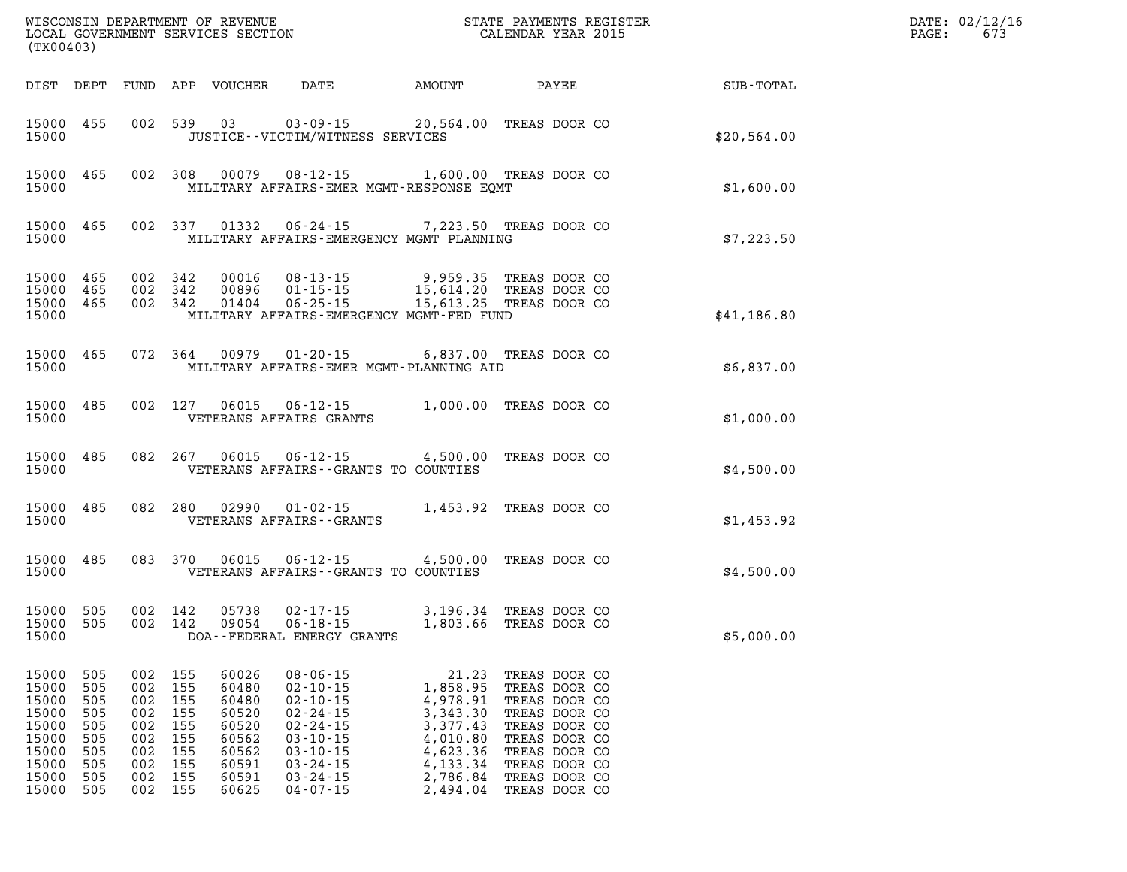| WISCONSIN DEPARTMENT OF REVENUE<br>LOCAL GOVERNMENT SERVICES SECTION<br>(TX00403)      |                                                                    |                                                                        |                                                             |                                                                                        |                                                                                                                                                                                  | STATE PAYMENTS REGISTER<br>CALENDAR YEAR 2015                                                                     |                                                                                                                                                                        |             | DATE: 02/12/16<br>673<br>PAGE: |
|----------------------------------------------------------------------------------------|--------------------------------------------------------------------|------------------------------------------------------------------------|-------------------------------------------------------------|----------------------------------------------------------------------------------------|----------------------------------------------------------------------------------------------------------------------------------------------------------------------------------|-------------------------------------------------------------------------------------------------------------------|------------------------------------------------------------------------------------------------------------------------------------------------------------------------|-------------|--------------------------------|
| DIST DEPT                                                                              |                                                                    |                                                                        |                                                             | FUND APP VOUCHER                                                                       | DATE                                                                                                                                                                             | AMOUNT                                                                                                            | PAYEE                                                                                                                                                                  | SUB-TOTAL   |                                |
| 15000 455<br>15000                                                                     |                                                                    |                                                                        | 002 539                                                     | 03                                                                                     | $03 - 09 - 15$<br>JUSTICE - - VICTIM/WITNESS SERVICES                                                                                                                            | 20,564.00                                                                                                         | TREAS DOOR CO                                                                                                                                                          | \$20,564.00 |                                |
| 15000<br>15000                                                                         | 465                                                                | 002 308                                                                |                                                             | 00079                                                                                  | 08-12-15 1,600.00 TREAS DOOR CO<br>MILITARY AFFAIRS-EMER MGMT-RESPONSE EOMT                                                                                                      |                                                                                                                   |                                                                                                                                                                        | \$1,600.00  |                                |
| 15000<br>15000                                                                         | 465                                                                |                                                                        | 002 337                                                     | 01332                                                                                  | $06 - 24 - 15$<br>MILITARY AFFAIRS-EMERGENCY MGMT PLANNING                                                                                                                       |                                                                                                                   | 7,223.50 TREAS DOOR CO                                                                                                                                                 | \$7,223.50  |                                |
| 15000<br>15000<br>15000 465<br>15000                                                   | 465<br>465                                                         | 002 342<br>002 342<br>002 342                                          |                                                             | 00016<br>00896<br>01404                                                                | $08 - 13 - 15$<br>$01 - 15 - 15$<br>$06 - 25 - 15$<br>MILITARY AFFAIRS-EMERGENCY MGMT-FED FUND                                                                                   | 9,959.35<br>15,614.20 TREAS DOOR CO<br>15,613.25 TREAS DOOR CO                                                    | TREAS DOOR CO<br>TREAS DOOR CO                                                                                                                                         | \$41,186.80 |                                |
| 15000<br>15000                                                                         | 465                                                                | 072 364                                                                |                                                             | 00979                                                                                  | $01 - 20 - 15$<br>MILITARY AFFAIRS-EMER MGMT-PLANNING AID                                                                                                                        |                                                                                                                   | 6,837.00 TREAS DOOR CO                                                                                                                                                 | \$6,837.00  |                                |
| 15000<br>15000                                                                         | 485                                                                | 002 127                                                                |                                                             | 06015                                                                                  | $06 - 12 - 15$<br>VETERANS AFFAIRS GRANTS                                                                                                                                        |                                                                                                                   | 1,000.00 TREAS DOOR CO                                                                                                                                                 | \$1,000.00  |                                |
| 15000<br>15000                                                                         | 485                                                                | 082 267                                                                |                                                             | 06015                                                                                  | $06 - 12 - 15$<br>VETERANS AFFAIRS -- GRANTS TO COUNTIES                                                                                                                         | 4,500.00                                                                                                          | TREAS DOOR CO                                                                                                                                                          | \$4,500.00  |                                |
| 15000<br>15000                                                                         | 485                                                                | 082                                                                    | 280                                                         | 02990                                                                                  | $01 - 02 - 15$<br>VETERANS AFFAIRS - - GRANTS                                                                                                                                    |                                                                                                                   | 1,453.92 TREAS DOOR CO                                                                                                                                                 | \$1,453.92  |                                |
| 15000<br>15000                                                                         | 485                                                                | 083                                                                    | 370                                                         | 06015                                                                                  | $06 - 12 - 15$<br>VETERANS AFFAIRS -- GRANTS TO COUNTIES                                                                                                                         | 4,500.00                                                                                                          | TREAS DOOR CO                                                                                                                                                          | \$4,500.00  |                                |
| 15000<br>15000<br>15000                                                                | 505<br>505                                                         | 002 142<br>002 142                                                     |                                                             | 05738<br>09054                                                                         | $02 - 17 - 15$<br>$06 - 18 - 15$<br>DOA--FEDERAL ENERGY GRANTS                                                                                                                   | 3,196.34<br>1,803.66                                                                                              | TREAS DOOR CO<br>TREAS DOOR CO                                                                                                                                         | \$5,000.00  |                                |
| 15000<br>15000<br>15000<br>15000<br>15000<br>15000<br>15000<br>15000<br>15000<br>15000 | 505<br>505<br>505<br>505<br>505<br>505<br>505<br>505<br>505<br>505 | 002<br>002<br>002<br>002<br>002<br>002<br>002<br>002<br>002<br>002 155 | 155<br>155<br>155<br>155<br>155<br>155<br>155<br>155<br>155 | 60026<br>60480<br>60480<br>60520<br>60520<br>60562<br>60562<br>60591<br>60591<br>60625 | $08 - 06 - 15$<br>$02 - 10 - 15$<br>$02 - 10 - 15$<br>$02 - 24 - 15$<br>$02 - 24 - 15$<br>$03 - 10 - 15$<br>$03 - 10 - 15$<br>$03 - 24 - 15$<br>$03 - 24 - 15$<br>$04 - 07 - 15$ | 21.23<br>1,858.95<br>4,978.91<br>3,343.30<br>3,377.43<br>4,010.80<br>4,623.36<br>4,133.34<br>2,786.84<br>2,494.04 | TREAS DOOR CO<br>TREAS DOOR CO<br>TREAS DOOR CO<br>TREAS DOOR CO<br>TREAS DOOR CO<br>TREAS DOOR CO<br>TREAS DOOR CO<br>TREAS DOOR CO<br>TREAS DOOR CO<br>TREAS DOOR CO |             |                                |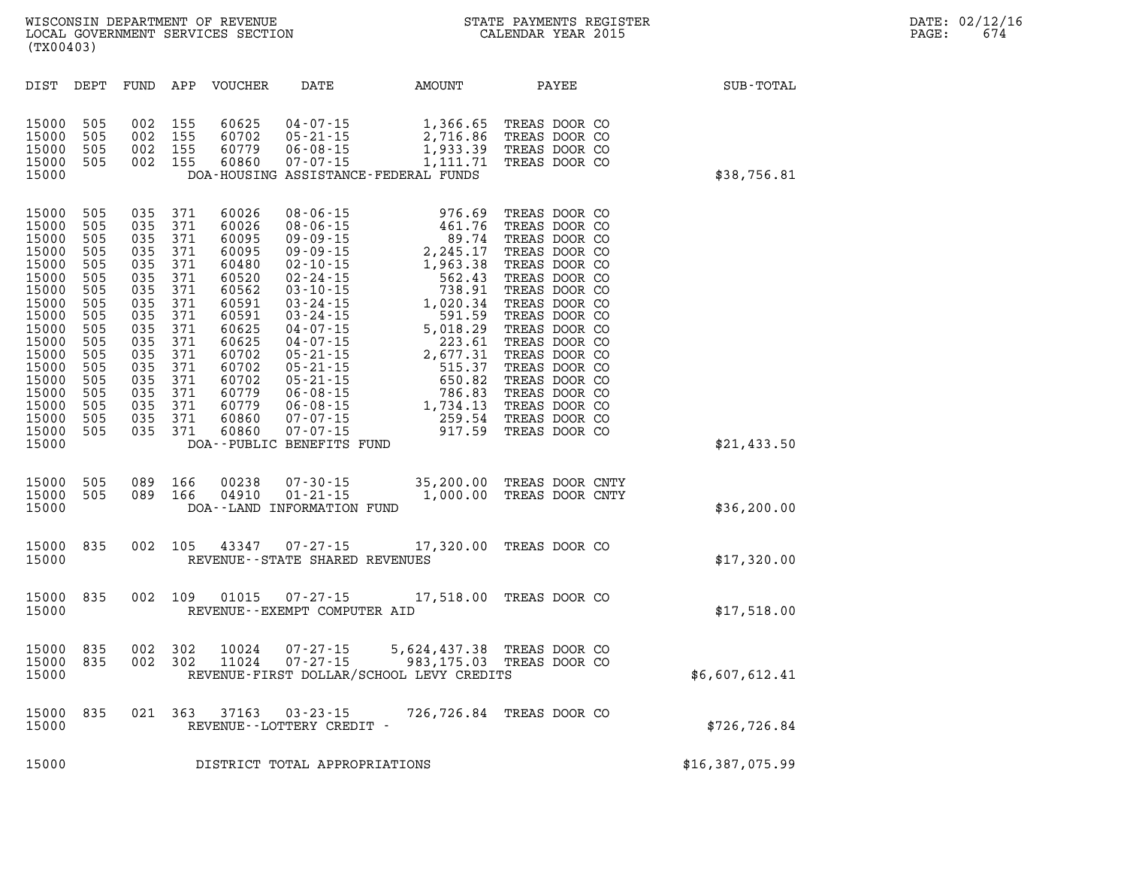| DIST<br>DEPT                                                                                                                                                                                                                                                                                          | FUND<br>APP                                                                                                                                                                                                                                              | VOUCHER                                                                                                                                                                                     | DATE                                                                                                                                                                                                                                                                                                                             | AMOUNT                                                                                                                                                                                                  | PAYEE                                                                                                                                                                                                                                                                                                          | SUB-TOTAL       |
|-------------------------------------------------------------------------------------------------------------------------------------------------------------------------------------------------------------------------------------------------------------------------------------------------------|----------------------------------------------------------------------------------------------------------------------------------------------------------------------------------------------------------------------------------------------------------|---------------------------------------------------------------------------------------------------------------------------------------------------------------------------------------------|----------------------------------------------------------------------------------------------------------------------------------------------------------------------------------------------------------------------------------------------------------------------------------------------------------------------------------|---------------------------------------------------------------------------------------------------------------------------------------------------------------------------------------------------------|----------------------------------------------------------------------------------------------------------------------------------------------------------------------------------------------------------------------------------------------------------------------------------------------------------------|-----------------|
| 15000<br>505<br>15000<br>505<br>15000<br>505<br>15000<br>505<br>15000                                                                                                                                                                                                                                 | 002<br>155<br>002<br>155<br>002<br>155<br>002<br>155                                                                                                                                                                                                     | 60625<br>60702<br>60779<br>60860                                                                                                                                                            | $04 - 07 - 15$<br>$05 - 21 - 15$<br>$06 - 08 - 15$<br>$07 - 07 - 15$<br>DOA-HOUSING ASSISTANCE-FEDERAL FUNDS                                                                                                                                                                                                                     | 1,366.65<br>2,716.86<br>1,933.39<br>1,111.71                                                                                                                                                            | TREAS DOOR CO<br>TREAS DOOR CO<br>TREAS DOOR CO<br>TREAS DOOR CO                                                                                                                                                                                                                                               | \$38,756.81     |
| 15000<br>505<br>505<br>15000<br>15000<br>505<br>15000<br>505<br>15000<br>505<br>15000<br>505<br>15000<br>505<br>15000<br>505<br>15000<br>505<br>15000<br>505<br>15000<br>505<br>15000<br>505<br>15000<br>505<br>505<br>15000<br>15000<br>505<br>15000<br>505<br>15000<br>505<br>15000<br>505<br>15000 | 035<br>371<br>035<br>371<br>035<br>371<br>035<br>371<br>035<br>371<br>035<br>371<br>371<br>035<br>035<br>371<br>371<br>035<br>035<br>371<br>035<br>371<br>035<br>371<br>371<br>035<br>035<br>371<br>371<br>035<br>035<br>371<br>035<br>371<br>035<br>371 | 60026<br>60026<br>60095<br>60095<br>60480<br>60520<br>60562<br>60591<br>60591<br>60625<br>60625<br>60702<br>60702<br>60702<br>60779<br>60779<br>60860<br>60860<br>DOA--PUBLIC BENEFITS FUND | $08 - 06 - 15$<br>$08 - 06 - 15$<br>$09 - 09 - 15$<br>$09 - 09 - 15$<br>$02 - 10 - 15$<br>$02 - 24 - 15$<br>$03 - 10 - 15$<br>$03 - 24 - 15$<br>$03 - 24 - 15$<br>$04 - 07 - 15$<br>$04 - 07 - 15$<br>$05 - 21 - 15$<br>$05 - 21 - 15$<br>$05 - 21 - 15$<br>$06 - 08 - 15$<br>$06 - 08 - 15$<br>$07 - 07 - 15$<br>$07 - 07 - 15$ | 976.69<br>461.76<br>89.74<br>2,245.17<br>1,963.38<br>1,963.38<br>562.43<br>738.91<br>1,020.34<br>591.59<br>5,018.29<br>223.61<br>2,677.31<br>515.37<br>650.82<br>786.83<br>1,734.13<br>259.54<br>917.59 | TREAS DOOR CO<br>TREAS DOOR CO<br>TREAS DOOR CO<br>TREAS DOOR CO<br>TREAS DOOR CO<br>TREAS DOOR CO<br>TREAS DOOR CO<br>TREAS DOOR CO<br>TREAS DOOR CO<br>TREAS DOOR CO<br>TREAS DOOR CO<br>TREAS DOOR CO<br>TREAS DOOR CO<br>TREAS DOOR CO<br>TREAS DOOR CO<br>TREAS DOOR CO<br>TREAS DOOR CO<br>TREAS DOOR CO | \$21,433.50     |
| 15000<br>505<br>15000<br>505<br>15000                                                                                                                                                                                                                                                                 | 089<br>166<br>089<br>166                                                                                                                                                                                                                                 | 00238<br>04910<br>DOA--LAND INFORMATION FUND                                                                                                                                                | $07 - 30 - 15$<br>$01 - 21 - 15$                                                                                                                                                                                                                                                                                                 | 35,200.00<br>1,000.00                                                                                                                                                                                   | TREAS DOOR CNTY<br>TREAS DOOR CNTY                                                                                                                                                                                                                                                                             | \$36, 200.00    |
| 15000<br>835<br>15000                                                                                                                                                                                                                                                                                 | 002<br>105                                                                                                                                                                                                                                               | 43347                                                                                                                                                                                       | $07 - 27 - 15$<br>REVENUE - - STATE SHARED REVENUES                                                                                                                                                                                                                                                                              | 17,320.00                                                                                                                                                                                               | TREAS DOOR CO                                                                                                                                                                                                                                                                                                  | \$17,320.00     |
| 15000<br>835<br>15000                                                                                                                                                                                                                                                                                 | 109<br>002                                                                                                                                                                                                                                               | 01015                                                                                                                                                                                       | $07 - 27 - 15$<br>REVENUE - - EXEMPT COMPUTER AID                                                                                                                                                                                                                                                                                |                                                                                                                                                                                                         | 17,518.00 TREAS DOOR CO                                                                                                                                                                                                                                                                                        | \$17,518.00     |
| 15000<br>835<br>15000<br>835<br>15000                                                                                                                                                                                                                                                                 | 002<br>302<br>302<br>002                                                                                                                                                                                                                                 | 10024<br>11024                                                                                                                                                                              | $07 - 27 - 15$<br>$07 - 27 - 15$<br>REVENUE-FIRST DOLLAR/SCHOOL LEVY CREDITS                                                                                                                                                                                                                                                     | 983,175.03                                                                                                                                                                                              | 5,624,437.38 TREAS DOOR CO<br>TREAS DOOR CO                                                                                                                                                                                                                                                                    | \$6,607,612.41  |
| 835<br>15000<br>15000                                                                                                                                                                                                                                                                                 | 021<br>363                                                                                                                                                                                                                                               | 37163<br>REVENUE--LOTTERY CREDIT -                                                                                                                                                          | $03 - 23 - 15$                                                                                                                                                                                                                                                                                                                   |                                                                                                                                                                                                         | 726,726.84 TREAS DOOR CO                                                                                                                                                                                                                                                                                       | \$726, 726.84   |
| 15000                                                                                                                                                                                                                                                                                                 |                                                                                                                                                                                                                                                          |                                                                                                                                                                                             | DISTRICT TOTAL APPROPRIATIONS                                                                                                                                                                                                                                                                                                    |                                                                                                                                                                                                         |                                                                                                                                                                                                                                                                                                                | \$16,387,075.99 |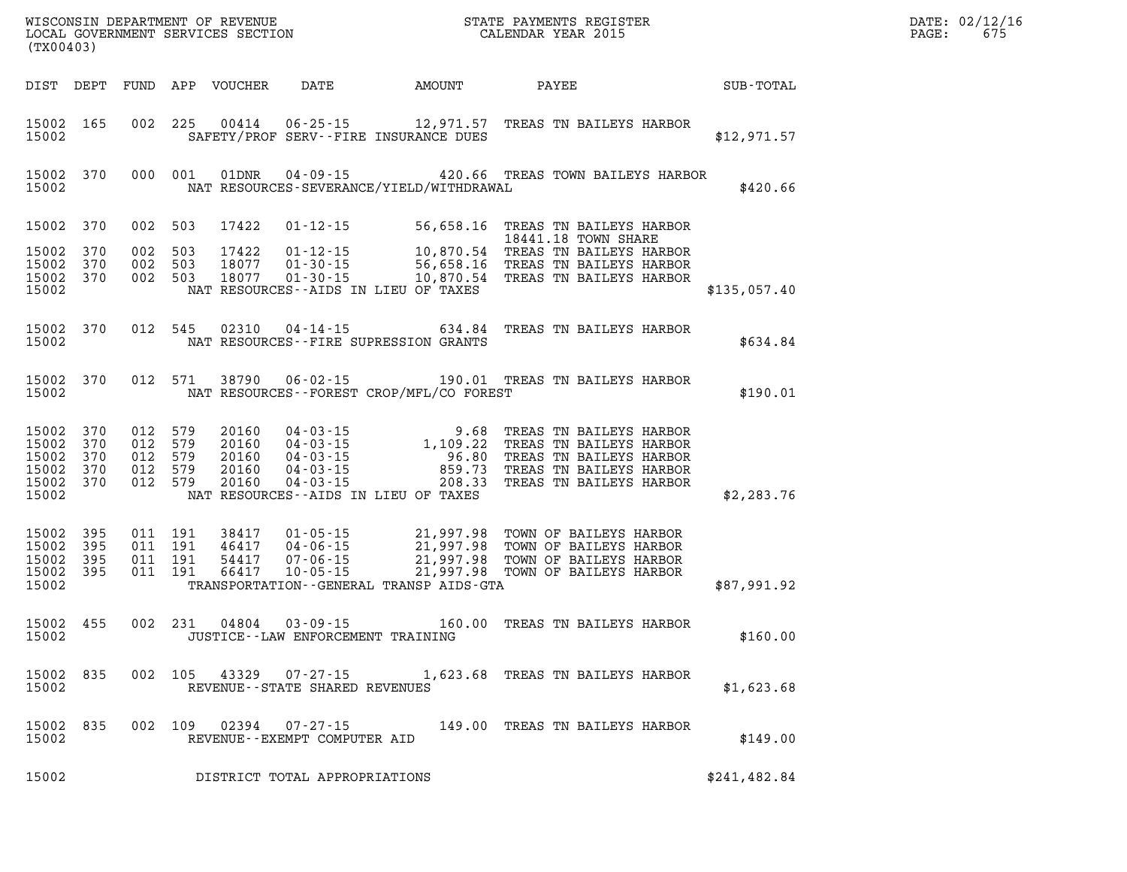| (TX00403)                                                      |                  |                                                     |       |                                                                |                                             | WISCONSIN DEPARTMENT OF REVENUE<br>LOCAL GOVERNMENT SERVICES SECTION FOR THE STATE PAYMENTS REGISTER<br>(TWO 1403)                                                                                                                        |              | DATE: 02/12/16<br>$\mathtt{PAGE:}$<br>675 |
|----------------------------------------------------------------|------------------|-----------------------------------------------------|-------|----------------------------------------------------------------|---------------------------------------------|-------------------------------------------------------------------------------------------------------------------------------------------------------------------------------------------------------------------------------------------|--------------|-------------------------------------------|
|                                                                |                  |                                                     |       |                                                                |                                             | DIST DEPT FUND APP VOUCHER DATE AMOUNT PAYEE PATE SUB-TOTAL                                                                                                                                                                               |              |                                           |
| 15002 165<br>15002                                             |                  | 002 225                                             |       |                                                                | SAFETY/PROF SERV--FIRE INSURANCE DUES       | 00414  06-25-15  12,971.57  TREAS TN BAILEYS HARBOR                                                                                                                                                                                       | \$12,971.57  |                                           |
| 15002 370<br>15002                                             |                  |                                                     |       |                                                                | NAT RESOURCES-SEVERANCE/YIELD/WITHDRAWAL    | 000 001 01DNR 04-09-15 420.66 TREAS TOWN BAILEYS HARBOR                                                                                                                                                                                   | \$420.66     |                                           |
| 15002 370                                                      |                  | 002 503                                             |       |                                                                |                                             |                                                                                                                                                                                                                                           |              |                                           |
| 15002 370                                                      |                  | 002 503                                             |       |                                                                |                                             | 17422  01-12-15  56,658.16  TREAS TN BAILEYS HARBOR<br>17422  01-12-15  10,870.54  TREAS TN BAILEYS HARBOR<br>18077  01-30-15  56,658.16  TREAS TN BAILEYS HARBOR<br>18077  01-30-15  10,870.54  TREAS TN BAILEYS HARBOR                  |              |                                           |
| 15002 370<br>15002 370                                         |                  | 002 503<br>002 503                                  |       |                                                                |                                             |                                                                                                                                                                                                                                           |              |                                           |
| 15002                                                          |                  |                                                     |       |                                                                | NAT RESOURCES--AIDS IN LIEU OF TAXES        |                                                                                                                                                                                                                                           | \$135,057.40 |                                           |
| 15002 370<br>15002                                             |                  | 012 545                                             |       |                                                                | NAT RESOURCES--FIRE SUPRESSION GRANTS       | 02310  04-14-15  634.84  TREAS TN BAILEYS HARBOR                                                                                                                                                                                          | \$634.84     |                                           |
| 15002 370<br>15002                                             |                  | 012 571                                             |       |                                                                | NAT RESOURCES - - FOREST CROP/MFL/CO FOREST |                                                                                                                                                                                                                                           | \$190.01     |                                           |
| 15002 370<br>15002 370<br>15002<br>15002<br>15002 370<br>15002 | 370<br>370       | 012 579<br>012 579<br>012 579<br>012 579<br>012 579 |       |                                                                | NAT RESOURCES--AIDS IN LIEU OF TAXES        | 20160 04-03-15 9.68 TREAS TN BAILEYS HARBOR<br>20160 04-03-15 1,109.22 TREAS TN BAILEYS HARBOR<br>20160 04-03-15 96.80 TREAS TN BAILEYS HARBOR<br>20160 04-03-15 859.73 TREAS TN BAILEYS HARBOR<br>20160 04-03-15 208.33 TREAS TN BAILEYS | \$2,283.76   |                                           |
| 15002 395<br>15002 395<br>15002<br>15002                       | 395<br>15002 395 | 011 191<br>011 191<br>011 191<br>011 191            |       |                                                                | TRANSPORTATION--GENERAL TRANSP AIDS-GTA     | 38417  01-05-15  21,997.98  TOWN OF BAILEYS HARBOR<br>46417  04-06-15  21,997.98  TOWN OF BAILEYS HARBOR<br>54417  07-06-15  21,997.98  TOWN OF BAILEYS HARBOR<br>66417  10-05-15  21,997.98  TOWN OF BAILEYS HARBOR                      | \$87,991.92  |                                           |
| 15002 455<br>15002                                             |                  |                                                     |       | 002 231 04804 03-09-15<br>JUSTICE - - LAW ENFORCEMENT TRAINING |                                             | 160.00 TREAS TN BAILEYS HARBOR                                                                                                                                                                                                            | \$160.00     |                                           |
| 15002 835<br>15002                                             |                  | 002 105                                             | 43329 | $07 - 27 - 15$<br>REVENUE--STATE SHARED REVENUES               |                                             | 1,623.68 TREAS TN BAILEYS HARBOR                                                                                                                                                                                                          | \$1,623.68   |                                           |
| 15002 835<br>15002                                             |                  | 002 109                                             | 02394 | 07-27-15<br>REVENUE--EXEMPT COMPUTER AID                       |                                             | 149.00 TREAS TN BAILEYS HARBOR                                                                                                                                                                                                            | \$149.00     |                                           |
| 15002                                                          |                  |                                                     |       | DISTRICT TOTAL APPROPRIATIONS                                  |                                             |                                                                                                                                                                                                                                           | \$241,482.84 |                                           |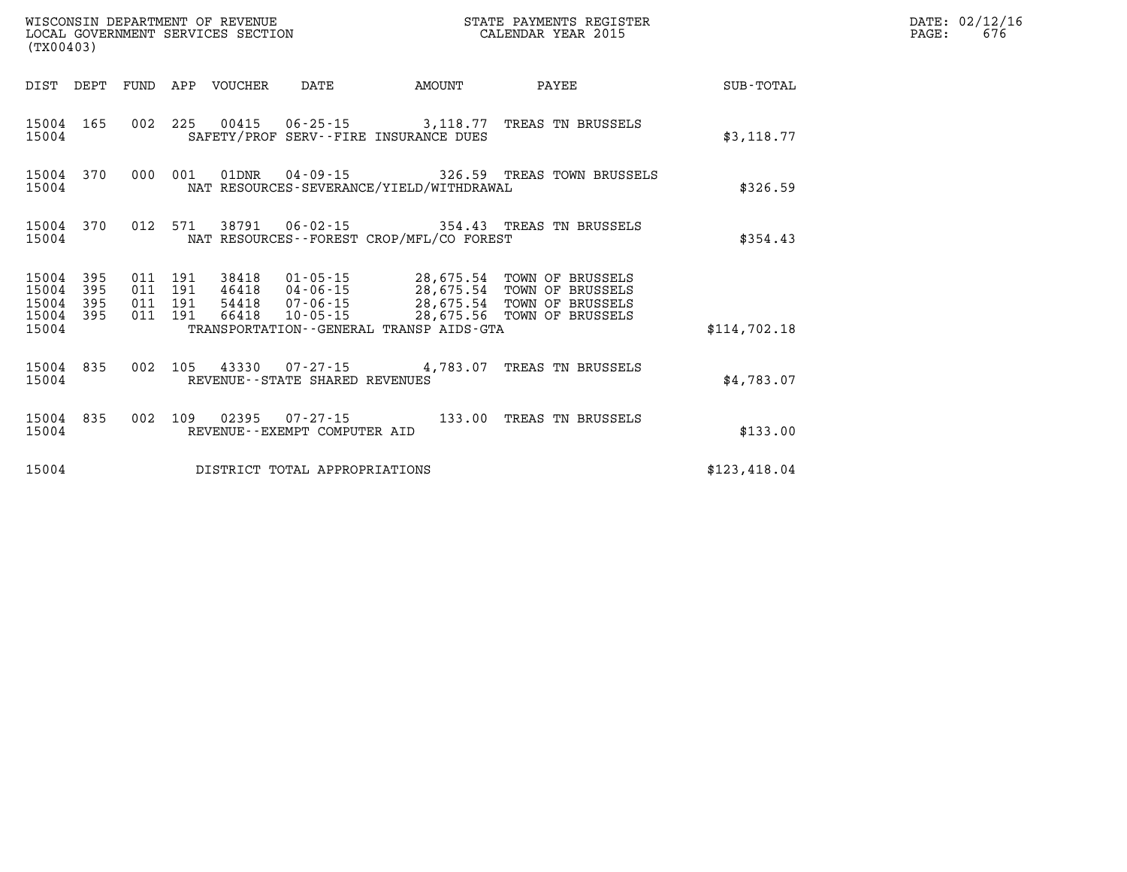| (TX00403)                                 |                          |                          |                          | WISCONSIN DEPARTMENT OF REVENUE<br>LOCAL GOVERNMENT SERVICES SECTION |                                                     |                                                                                             | STATE PAYMENTS REGISTER<br>CALENDAR YEAR 2015                                |              |
|-------------------------------------------|--------------------------|--------------------------|--------------------------|----------------------------------------------------------------------|-----------------------------------------------------|---------------------------------------------------------------------------------------------|------------------------------------------------------------------------------|--------------|
| DIST                                      | DEPT                     | FUND                     | APP                      | VOUCHER                                                              | DATE                                                | AMOUNT                                                                                      | PAYEE                                                                        | SUB-TOTAL    |
| 15004<br>15004                            | 165                      | 002                      | 225                      | 00415                                                                | $06 - 25 - 15$                                      | 3,118.77<br>SAFETY/PROF SERV--FIRE INSURANCE DUES                                           | TREAS TN BRUSSELS                                                            | \$3,118.77   |
| 15004<br>15004                            | 370                      | 000                      | 001                      | 01DNR                                                                |                                                     | $04 - 09 - 15$ 326.59<br>NAT RESOURCES-SEVERANCE/YIELD/WITHDRAWAL                           | TREAS TOWN BRUSSELS                                                          | \$326.59     |
| 15004<br>15004                            | 370                      | 012                      | 571                      | 38791                                                                | $06 - 02 - 15$                                      | NAT RESOURCES - - FOREST CROP/MFL/CO FOREST                                                 | 354.43 TREAS TN BRUSSELS                                                     | \$354.43     |
| 15004<br>15004<br>15004<br>15004<br>15004 | 395<br>395<br>395<br>395 | 011<br>011<br>011<br>011 | 191<br>191<br>191<br>191 | 38418<br>46418<br>54418<br>66418                                     | 01-05-15<br>$04 - 06 - 15$<br>07-06-15<br>10-05-15  | 28,675.54<br>28,675.54<br>28,675.54<br>28,675.56<br>TRANSPORTATION--GENERAL TRANSP AIDS-GTA | TOWN OF BRUSSELS<br>TOWN OF BRUSSELS<br>TOWN OF BRUSSELS<br>TOWN OF BRUSSELS | \$114,702.18 |
| 15004<br>15004                            | 835                      | 002                      | 105                      | 43330                                                                | $07 - 27 - 15$<br>REVENUE - - STATE SHARED REVENUES | 4,783.07                                                                                    | TREAS TN BRUSSELS                                                            | \$4.783.07   |
| 15004<br>15004                            | 835                      | 002                      | 109                      | 02395                                                                | $07 - 27 - 15$<br>REVENUE - - EXEMPT COMPUTER AID   | 133.00                                                                                      | TREAS TN BRUSSELS                                                            | \$133.00     |
| 15004                                     |                          |                          |                          |                                                                      | DISTRICT TOTAL APPROPRIATIONS                       |                                                                                             |                                                                              | \$123,418.04 |

**LOCAL GOVERNIT SERVICE: 676**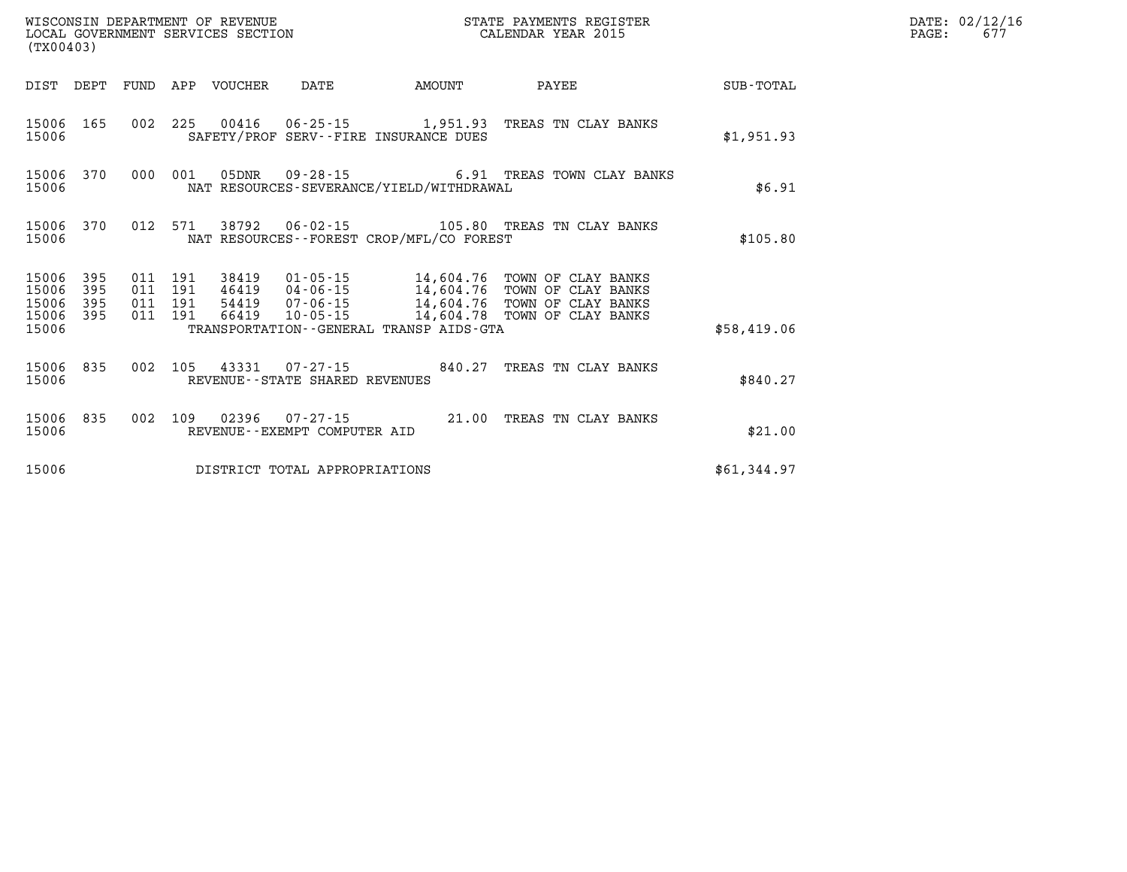| (TX00403)                   |            |                               |                                 | WISCONSIN DEPARTMENT OF REVENUE<br>LOCAL GOVERNMENT SERVICES SECTION |                                              | STATE PAYMENTS REGISTER<br>CALENDAR YEAR 2015                                                                                                      |             | DATE: 02/12/16<br>PAGE:<br>677 |
|-----------------------------|------------|-------------------------------|---------------------------------|----------------------------------------------------------------------|----------------------------------------------|----------------------------------------------------------------------------------------------------------------------------------------------------|-------------|--------------------------------|
|                             |            |                               | DIST DEPT FUND APP VOUCHER DATE |                                                                      | AMOUNT                                       | PAYEE                                                                                                                                              | SUB-TOTAL   |                                |
| 15006 165<br>15006          |            |                               |                                 |                                                                      | SAFETY/PROF SERV--FIRE INSURANCE DUES        | 002 225 00416 06-25-15 1,951.93 TREAS TN CLAY BANKS                                                                                                | \$1,951.93  |                                |
| 15006 370<br>15006          |            | 000 001                       |                                 |                                                                      | NAT RESOURCES-SEVERANCE/YIELD/WITHDRAWAL     | 05DNR  09-28-15  6.91 TREAS TOWN CLAY BANKS                                                                                                        | \$6.91      |                                |
| 15006                       | 15006 370  | 012 571                       |                                 |                                                                      | NAT RESOURCES - - FOREST CROP/MFL/CO FOREST  |                                                                                                                                                    | \$105.80    |                                |
| 15006 395<br>15006<br>15006 | 395<br>395 | 011 191<br>011 191<br>011 191 |                                 |                                                                      |                                              | 38419  01-05-15  14,604.76  TOWN OF CLAY BANKS<br>46419  04-06-15  14,604.76  TOWN OF CLAY BANKS<br>54419  07-06-15  14,604.76  TOWN OF CLAY BANKS |             |                                |
| 15006 395<br>15006          |            | 011 191                       |                                 |                                                                      | TRANSPORTATION - - GENERAL TRANSP AIDS - GTA | 66419  10-05-15  14,604.78  TOWN OF CLAY BANKS                                                                                                     | \$58,419.06 |                                |
| 15006 835<br>15006          |            |                               |                                 | REVENUE - - STATE SHARED REVENUES                                    |                                              | 002 105 43331 07-27-15 840.27 TREAS TN CLAY BANKS                                                                                                  | \$840.27    |                                |
| 15006                       | 15006 835  |                               |                                 | REVENUE--EXEMPT COMPUTER AID                                         |                                              | 002 109 02396 07-27-15 21.00 TREAS TN CLAY BANKS                                                                                                   | \$21.00     |                                |
| 15006                       |            |                               |                                 | DISTRICT TOTAL APPROPRIATIONS                                        |                                              |                                                                                                                                                    | \$61,344.97 |                                |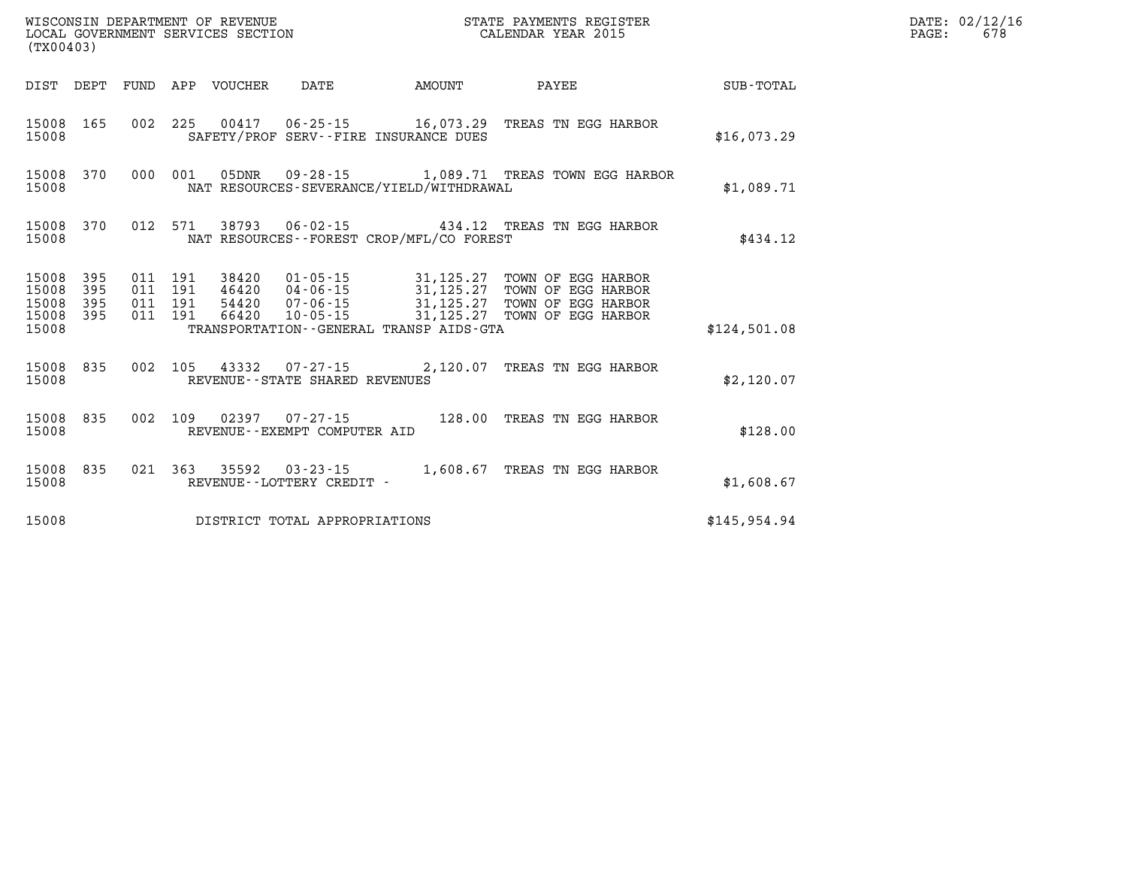| (TX00403)                                 |                          |                          |                          | WISCONSIN DEPARTMENT OF REVENUE<br>LOCAL GOVERNMENT SERVICES SECTION |                                                    |                                                                                                  | STATE PAYMENTS REGISTER<br>CALENDAR YEAR 2015                                        |                  |  |  |
|-------------------------------------------|--------------------------|--------------------------|--------------------------|----------------------------------------------------------------------|----------------------------------------------------|--------------------------------------------------------------------------------------------------|--------------------------------------------------------------------------------------|------------------|--|--|
| DIST                                      | DEPT                     | FUND                     | APP                      | VOUCHER                                                              | DATE                                               | AMOUNT                                                                                           | PAYEE                                                                                | <b>SUB-TOTAL</b> |  |  |
| 15008<br>15008                            | 165                      | 002                      | 225                      |                                                                      |                                                    | 00417  06-25-15  16,073.29<br>SAFETY/PROF SERV--FIRE INSURANCE DUES                              | TREAS TN EGG HARBOR                                                                  | \$16,073.29      |  |  |
| 15008<br>15008                            | 370                      | 000                      | 001                      | 05DNR                                                                | 09 - 28 - 15                                       | NAT RESOURCES-SEVERANCE/YIELD/WITHDRAWAL                                                         | 1,089.71 TREAS TOWN EGG HARBOR                                                       | \$1,089.71       |  |  |
| 15008<br>15008                            | 370                      | 012                      | 571                      |                                                                      |                                                    | NAT RESOURCES - - FOREST CROP/MFL/CO FOREST                                                      | 38793  06-02-15  434.12  TREAS TN EGG HARBOR                                         | \$434.12         |  |  |
| 15008<br>15008<br>15008<br>15008<br>15008 | 395<br>395<br>395<br>395 | 011<br>011<br>011<br>011 | 191<br>191<br>191<br>191 | 38420<br>46420<br>54420<br>66420                                     | 01-05-15<br>$04 - 06 - 15$<br>07-06-15<br>10-05-15 | 31,125.27<br>31,125.27<br>31,125.27<br>31,125.27<br>TRANSPORTATION - - GENERAL TRANSP AIDS - GTA | TOWN OF EGG HARBOR<br>TOWN OF EGG HARBOR<br>TOWN OF EGG HARBOR<br>TOWN OF EGG HARBOR | \$124,501.08     |  |  |
| 15008<br>15008                            | 835                      | 002                      | 105                      | 43332                                                                | REVENUE - - STATE SHARED REVENUES                  | 07-27-15 2,120.07                                                                                | TREAS TN EGG HARBOR                                                                  | \$2,120.07       |  |  |
| 15008<br>15008                            | 835                      | 002                      | 109                      |                                                                      | REVENUE--EXEMPT COMPUTER AID                       | 128.00                                                                                           | TREAS TN EGG HARBOR                                                                  | \$128.00         |  |  |
| 15008<br>15008                            | 835                      | 021                      | 363                      | 35592                                                                | $03 - 23 - 15$<br>REVENUE - - LOTTERY CREDIT -     | 1,608.67                                                                                         | TREAS TN EGG HARBOR                                                                  | \$1,608.67       |  |  |
| 15008                                     |                          |                          |                          |                                                                      | DISTRICT TOTAL APPROPRIATIONS                      |                                                                                                  |                                                                                      | \$145.954.94     |  |  |

**LOCAL GOVERNIT SERVICE: 678**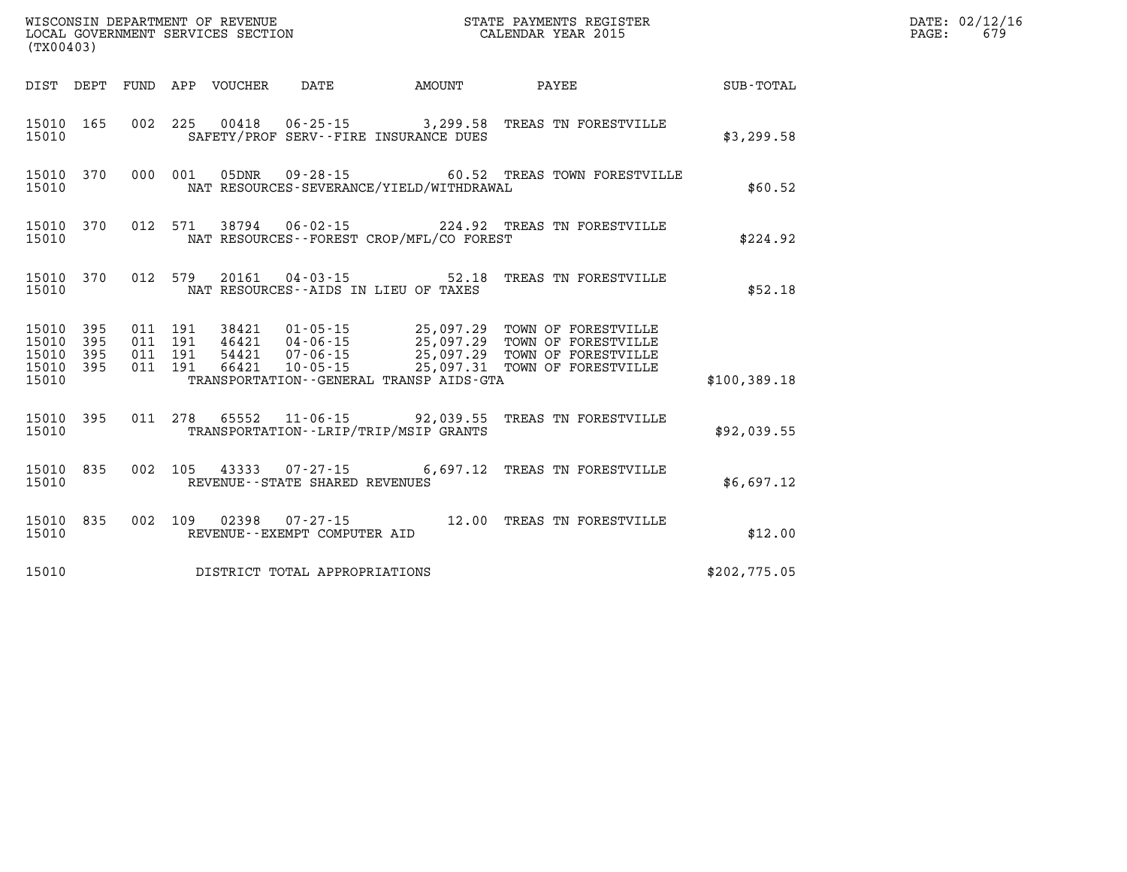|                         | WISCONSIN DEPARTMENT OF REVENUE<br>STATE PAYMENTS REGISTER<br>LOCAL GOVERNMENT SERVICES SECTION<br>CALENDAR YEAR 2015<br>(TX00403) |            |                              |                                                     |                                                                      |                                            |                  |  |
|-------------------------|------------------------------------------------------------------------------------------------------------------------------------|------------|------------------------------|-----------------------------------------------------|----------------------------------------------------------------------|--------------------------------------------|------------------|--|
| DIST                    | DEPT                                                                                                                               | FUND       | APP<br>VOUCHER               | DATE                                                | <b>EXAMPLE THE AMOUNT</b>                                            | PAYEE                                      | <b>SUB-TOTAL</b> |  |
| 15010<br>15010          | 165                                                                                                                                | 002        | 225                          |                                                     | 00418  06-25-15  3,299.58<br>SAFETY/PROF SERV--FIRE INSURANCE DUES   | TREAS TN FORESTVILLE                       | \$3,299.58       |  |
| 15010<br>15010          | 370                                                                                                                                | 000        | 001<br>05DNR                 | $09 - 28 - 15$                                      | NAT RESOURCES-SEVERANCE/YIELD/WITHDRAWAL                             | 60.52 TREAS TOWN FORESTVILLE               | \$60.52          |  |
| 15010<br>15010          | 370                                                                                                                                | 012        | 571<br>38794                 | $06 - 02 - 15$                                      | NAT RESOURCES - - FOREST CROP/MFL/CO FOREST                          | 224.92 TREAS TN FORESTVILLE                | \$224.92         |  |
| 15010<br>15010          | 370                                                                                                                                | 012        | 579<br>20161                 |                                                     | $04 - 03 - 15$ 52.18<br>NAT RESOURCES -- AIDS IN LIEU OF TAXES       | TREAS TN FORESTVILLE                       | \$52.18          |  |
| 15010<br>15010          | 395<br>395                                                                                                                         | 011<br>011 | 191<br>38421<br>191<br>46421 | $01 - 05 - 15$                                      | 25,097.29<br>25,097.29                                               | TOWN OF FORESTVILLE<br>TOWN OF FORESTVILLE |                  |  |
| 15010<br>15010<br>15010 | 395<br>395                                                                                                                         | 011<br>011 | 54421<br>191<br>191<br>66421 | 04 - 06 - 15<br>07 - 06 - 15<br>10-05-15            | 25,097.29<br>25,097.31<br>TRANSPORTATION--GENERAL TRANSP AIDS-GTA    | TOWN OF FORESTVILLE<br>TOWN OF FORESTVILLE | \$100,389.18     |  |
| 15010<br>15010          | 395                                                                                                                                | 011        | 278<br>65552                 |                                                     | $11 - 06 - 15$ 92,039.55<br>TRANSPORTATION - - LRIP/TRIP/MSIP GRANTS | TREAS TN FORESTVILLE                       | \$92,039.55      |  |
| 15010<br>15010          | 835                                                                                                                                | 002        | 105<br>43333                 | $07 - 27 - 15$<br>REVENUE - - STATE SHARED REVENUES | 6,697.12                                                             | TREAS TN FORESTVILLE                       | \$6,697.12       |  |
| 15010<br>15010          | 835                                                                                                                                | 002        | 109<br>02398                 | $07 - 27 - 15$<br>REVENUE--EXEMPT COMPUTER AID      | 12.00                                                                | TREAS TN FORESTVILLE                       | \$12.00          |  |
| 15010                   |                                                                                                                                    |            |                              | DISTRICT TOTAL APPROPRIATIONS                       |                                                                      |                                            | \$202,775.05     |  |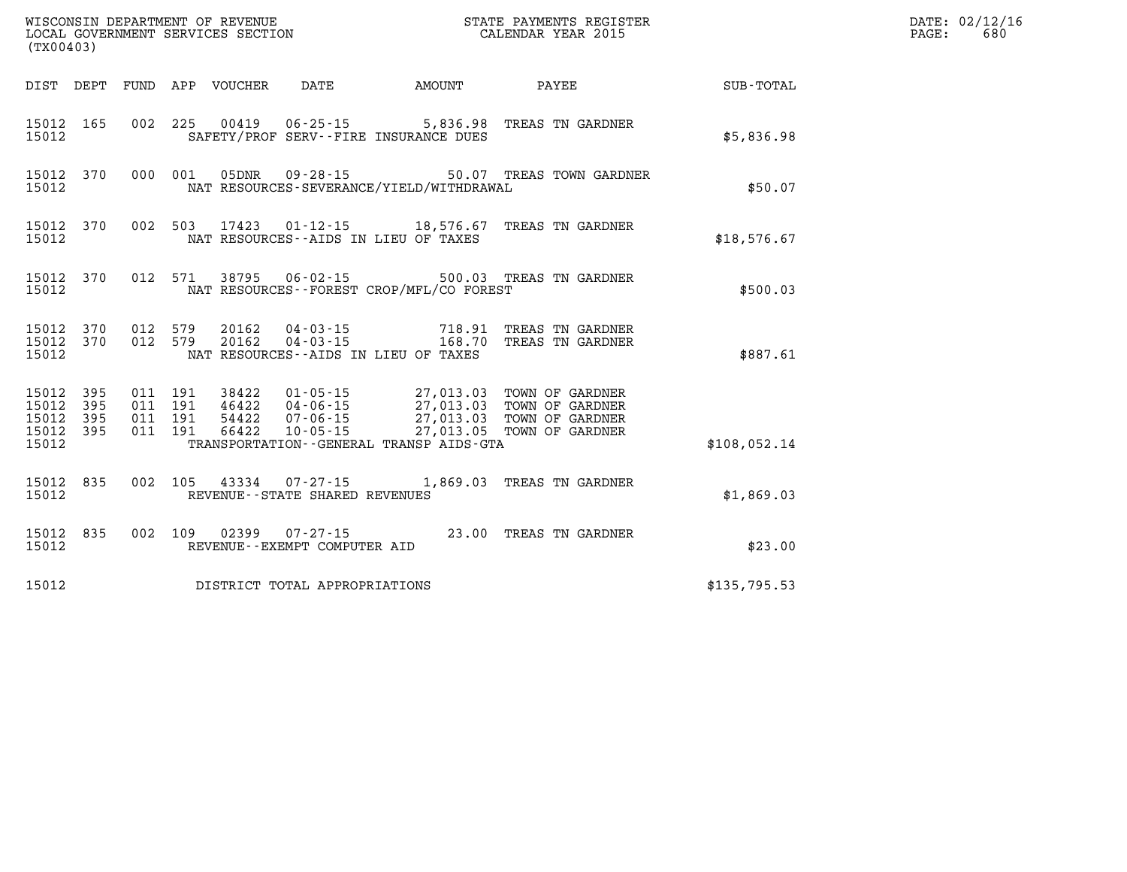| (TX00403)          |                                     |  |                                |                                              | WISCONSIN DEPARTMENT OF REVENUE<br>LOCAL GOVERNMENT SERVICES SECTION<br>CALENDAR YEAR 2015                                                                                                                   |              | DATE: 02/12/16<br>PAGE:<br>680 |
|--------------------|-------------------------------------|--|--------------------------------|----------------------------------------------|--------------------------------------------------------------------------------------------------------------------------------------------------------------------------------------------------------------|--------------|--------------------------------|
|                    |                                     |  |                                |                                              | DIST DEPT FUND APP VOUCHER DATE AMOUNT PAYEE PAYEE SUB-TOTAL                                                                                                                                                 |              |                                |
| 15012              |                                     |  |                                | SAFETY/PROF SERV--FIRE INSURANCE DUES        | 15012 165 002 225 00419 06-25-15 5,836.98 TREAS TN GARDNER                                                                                                                                                   | \$5,836.98   |                                |
| 15012              |                                     |  |                                | NAT RESOURCES-SEVERANCE/YIELD/WITHDRAWAL     | 15012 370 000 001 05DNR 09-28-15 50.07 TREAS TOWN GARDNER                                                                                                                                                    | \$50.07      |                                |
| 15012              |                                     |  |                                | NAT RESOURCES -- AIDS IN LIEU OF TAXES       | 15012 370 002 503 17423 01-12-15 18,576.67 TREAS TN GARDNER                                                                                                                                                  | \$18,576.67  |                                |
| 15012              |                                     |  |                                | NAT RESOURCES--FOREST CROP/MFL/CO FOREST     | 15012 370 012 571 38795 06-02-15 500.03 TREAS TN GARDNER                                                                                                                                                     | \$500.03     |                                |
| 15012              |                                     |  |                                | NAT RESOURCES--AIDS IN LIEU OF TAXES         | $\begin{array}{cccccc} 15012 & 370 & 012 & 579 & 20162 & 04-03-15 & & & & 718.91 & \text{TREAS TN GARDNER} \\ 15012 & 370 & 012 & 579 & 20162 & 04-03-15 & & & 168.70 & \text{TREAS TN GARDNER} \end{array}$ | \$887.61     |                                |
| 15012 395<br>15012 | 15012 395<br>15012 395<br>15012 395 |  |                                | TRANSPORTATION - - GENERAL TRANSP AIDS - GTA | 011 191 38422 01-05-15 27,013.03 TOWN OF GARDNER<br>011 191 46422 04-06-15 27,013.03 TOWN OF GARDNER<br>011 191 54422 07-06-15 27,013.03 TOWN OF GARDNER<br>011 191 66422 10-05-15 27,013.05 TOWN OF GARDNER | \$108,052.14 |                                |
| 15012              |                                     |  | REVENUE--STATE SHARED REVENUES |                                              | 15012 835 002 105 43334 07-27-15 1,869.03 TREAS TN GARDNER                                                                                                                                                   | \$1,869.03   |                                |
| 15012              |                                     |  | REVENUE--EXEMPT COMPUTER AID   |                                              | 15012 835 002 109 02399 07-27-15 23.00 TREAS TN GARDNER                                                                                                                                                      | \$23.00      |                                |
| 15012              |                                     |  | DISTRICT TOTAL APPROPRIATIONS  |                                              |                                                                                                                                                                                                              | \$135,795.53 |                                |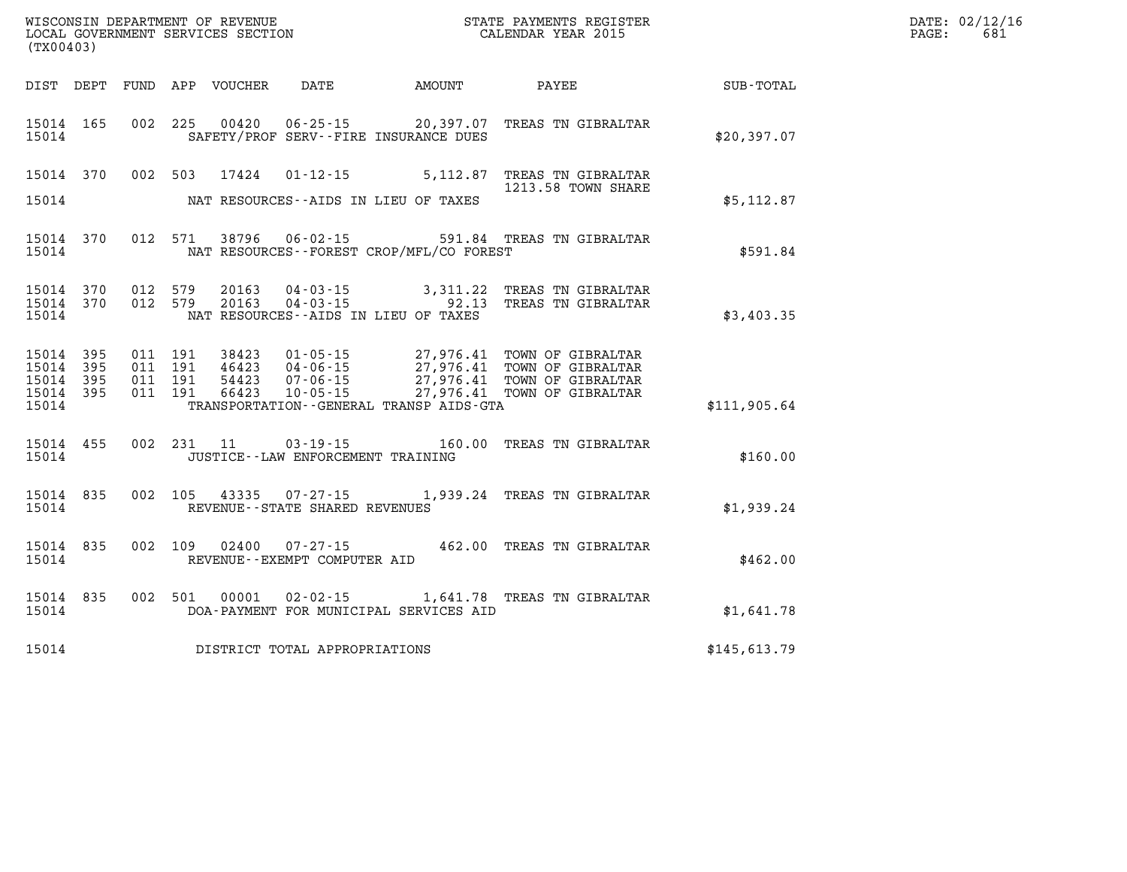| DATE: | 02/12/16 |
|-------|----------|
| PAGE: | 681      |

| (TX00403)                                                             |                          | WISCONSIN DEPARTMENT OF REVENUE<br>LOCAL GOVERNMENT SERVICES SECTION |                                                                                                                 | STATE PAYMENTS REGISTER<br>CALENDAR YEAR 2015    |                                                                                  |              |  |
|-----------------------------------------------------------------------|--------------------------|----------------------------------------------------------------------|-----------------------------------------------------------------------------------------------------------------|--------------------------------------------------|----------------------------------------------------------------------------------|--------------|--|
| DIST<br>DEPT                                                          | FUND                     | APP<br>VOUCHER                                                       | DATE                                                                                                            | AMOUNT                                           | PAYEE                                                                            | SUB-TOTAL    |  |
| 165<br>15014<br>15014                                                 | 002                      | 225<br>00420                                                         | $06 - 25 - 15$ 20,397.07<br>SAFETY/PROF SERV--FIRE INSURANCE DUES                                               |                                                  | TREAS TN GIBRALTAR                                                               | \$20,397.07  |  |
| 15014<br>370                                                          | 002                      | 503<br>17424                                                         | $01 - 12 - 15$                                                                                                  | 5,112.87                                         | TREAS TN GIBRALTAR<br>1213.58 TOWN SHARE                                         |              |  |
| 15014                                                                 |                          |                                                                      | NAT RESOURCES--AIDS IN LIEU OF TAXES                                                                            |                                                  |                                                                                  | \$5,112.87   |  |
| 15014<br>370<br>15014                                                 | 012                      | 571<br>38796                                                         | $06 - 02 - 15$<br>NAT RESOURCES - - FOREST CROP/MFL/CO FOREST                                                   | 591.84                                           | TREAS TN GIBRALTAR                                                               | \$591.84     |  |
| 15014<br>370<br>370<br>15014<br>15014                                 | 012<br>012               | 579<br>20163<br>579<br>20163                                         | $04 - 03 - 15$<br>$04 - 03 - 15$<br>NAT RESOURCES -- AIDS IN LIEU OF TAXES                                      | 3,311.22<br>92.13                                | TREAS TN GIBRALTAR<br>TREAS TN GIBRALTAR                                         | \$3,403.35   |  |
| 15014<br>395<br>15014<br>395<br>15014<br>395<br>15014<br>395<br>15014 | 011<br>011<br>011<br>011 | 191<br>38423<br>191<br>46423<br>191<br>54423<br>191<br>66423         | $01 - 05 - 15$<br>$04 - 06 - 15$<br>$07 - 06 - 15$<br>$10 - 05 - 15$<br>TRANSPORTATION--GENERAL TRANSP AIDS-GTA | 27,976.41<br>27,976.41<br>27,976.41<br>27,976.41 | TOWN OF GIBRALTAR<br>TOWN OF GIBRALTAR<br>TOWN OF GIBRALTAR<br>TOWN OF GIBRALTAR | \$111,905.64 |  |
| 15014<br>455<br>15014                                                 | 002                      | 231<br>11                                                            | $03 - 19 - 15$<br>JUSTICE - - LAW ENFORCEMENT TRAINING                                                          | 160.00                                           | TREAS TN GIBRALTAR                                                               | \$160.00     |  |
| 15014<br>835<br>15014                                                 | 002                      | 105<br>43335                                                         | $07 - 27 - 15$<br>REVENUE - - STATE SHARED REVENUES                                                             |                                                  | 1,939.24 TREAS TN GIBRALTAR                                                      | \$1,939.24   |  |
| 15014<br>835<br>15014                                                 | 002                      | 109<br>02400                                                         | $07 - 27 - 15$<br>REVENUE - - EXEMPT COMPUTER AID                                                               | 462.00                                           | TREAS TN GIBRALTAR                                                               | \$462.00     |  |
| 15014<br>835<br>15014                                                 | 002                      | 501<br>00001                                                         | $02 - 02 - 15$<br>DOA-PAYMENT FOR MUNICIPAL SERVICES AID                                                        | 1,641.78                                         | TREAS TN GIBRALTAR                                                               | \$1,641.78   |  |
| 15014                                                                 |                          |                                                                      | DISTRICT TOTAL APPROPRIATIONS                                                                                   |                                                  |                                                                                  | \$145,613.79 |  |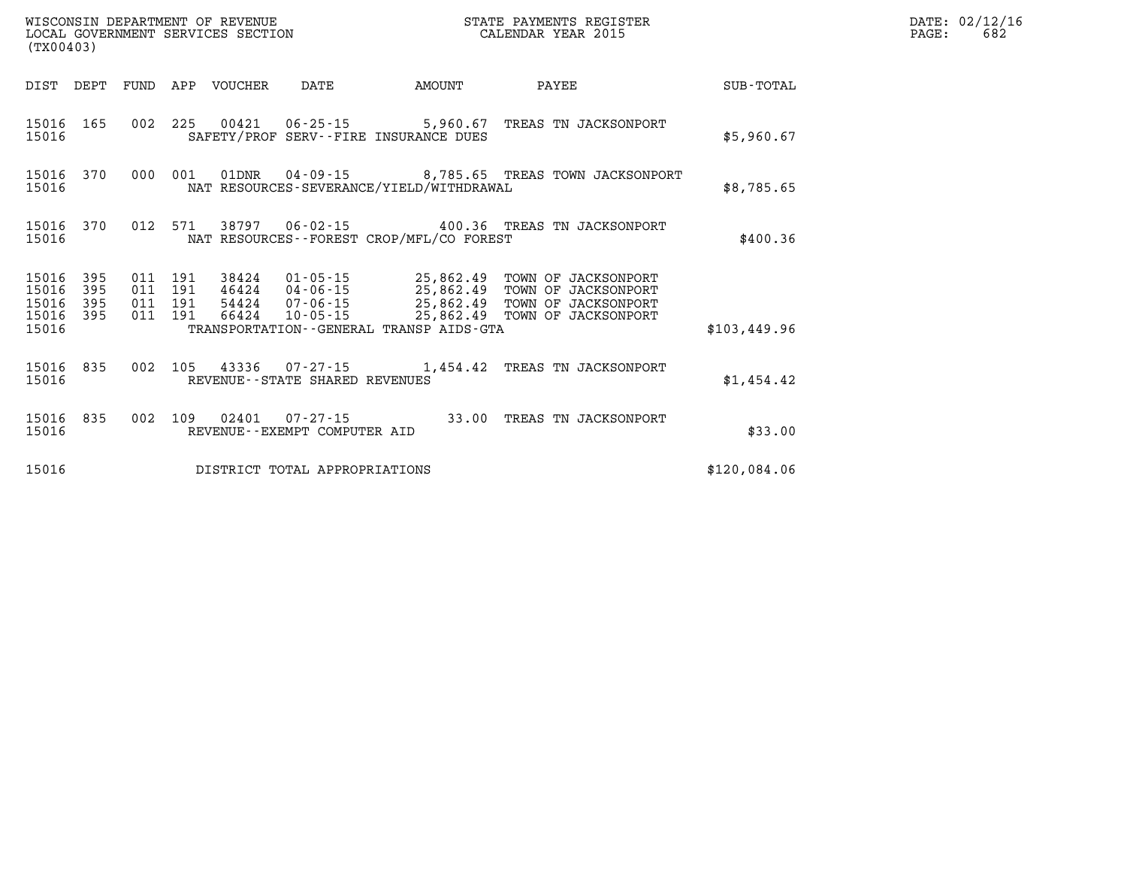| (TX00403)               |                   |                   |                   | WISCONSIN DEPARTMENT OF REVENUE<br>LOCAL GOVERNMENT SERVICES SECTION | STATE PAYMENTS REGISTER<br>CALENDAR YEAR 2015       |                                                           |                                                                   |              |
|-------------------------|-------------------|-------------------|-------------------|----------------------------------------------------------------------|-----------------------------------------------------|-----------------------------------------------------------|-------------------------------------------------------------------|--------------|
| DIST                    | DEPT              | FUND              | APP               | VOUCHER                                                              | DATE                                                | AMOUNT                                                    | PAYEE                                                             | SUB-TOTAL    |
| 15016<br>15016          | 165               | 002               | 225               | 00421                                                                | 06-25-15                                            | 5,960.67<br>SAFETY/PROF SERV--FIRE INSURANCE DUES         | TREAS TN JACKSONPORT                                              | \$5,960.67   |
| 15016<br>15016          | 370               | 000               | 001               | 01DNR                                                                | 04 - 09 - 15                                        | NAT RESOURCES-SEVERANCE/YIELD/WITHDRAWAL                  | 8,785.65 TREAS TOWN JACKSONPORT                                   | \$8,785.65   |
| 15016<br>15016          | 370               | 012               | 571               | 38797                                                                | 06-02-15                                            | 400.36<br>NAT RESOURCES - - FOREST CROP/MFL/CO FOREST     | TREAS TN JACKSONPORT                                              | \$400.36     |
| 15016<br>15016<br>15016 | 395<br>395<br>395 | 011<br>011<br>011 | 191<br>191<br>191 | 38424<br>46424<br>54424                                              | 01-05-15<br>04-06-15<br>07-06-15                    | 25,862.49<br>25,862.49<br>25,862.49                       | TOWN OF JACKSONPORT<br>TOWN OF JACKSONPORT<br>TOWN OF JACKSONPORT |              |
| 15016<br>15016          | 395               | 011               | 191               | 66424                                                                | $10 - 05 - 15$                                      | 25,862.49<br>TRANSPORTATION - - GENERAL TRANSP AIDS - GTA | TOWN OF JACKSONPORT                                               | \$103,449.96 |
| 15016<br>15016          | 835               | 002               | 105               | 43336                                                                | $07 - 27 - 15$<br>REVENUE - - STATE SHARED REVENUES | 1,454.42                                                  | TREAS TN JACKSONPORT                                              | \$1,454.42   |
| 15016<br>15016          | 835               | 002               | 109               | 02401                                                                | $07 - 27 - 15$<br>REVENUE - - EXEMPT COMPUTER AID   | 33.00                                                     | TREAS TN JACKSONPORT                                              | \$33.00      |
| 15016                   |                   |                   |                   |                                                                      | DISTRICT TOTAL APPROPRIATIONS                       |                                                           |                                                                   | \$120,084.06 |

**DATE: 02/12/16<br>PAGE: 682**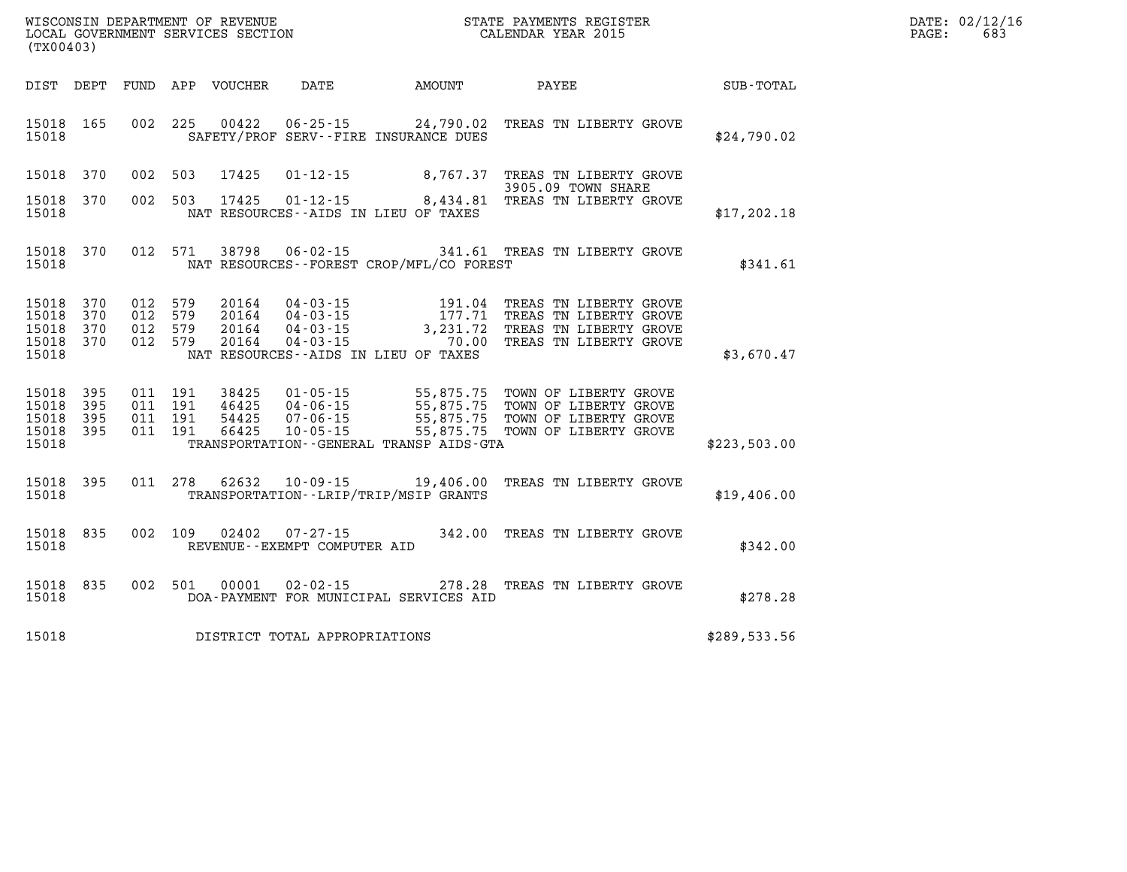| DATE: | 02/12/16 |
|-------|----------|
| PAGE: | 683      |

| WISCONSIN DEPARTMENT OF REVENUE<br>(TX00403)                                                      | LOCAL GOVERNMENT SERVICES SECTION                                                                                                                                               | STATE PAYMENTS REGISTER<br>CALENDAR YEAR 2015 |                                                                                                                                          |                  |  |  |
|---------------------------------------------------------------------------------------------------|---------------------------------------------------------------------------------------------------------------------------------------------------------------------------------|-----------------------------------------------|------------------------------------------------------------------------------------------------------------------------------------------|------------------|--|--|
| DIST<br>DEPT<br>FUND                                                                              | APP<br>VOUCHER<br>DATE                                                                                                                                                          | AMOUNT                                        | PAYEE                                                                                                                                    | <b>SUB-TOTAL</b> |  |  |
| 002<br>15018<br>165<br>15018                                                                      | 225<br>00422<br>$06 - 25 - 15$<br>SAFETY/PROF SERV--FIRE INSURANCE DUES                                                                                                         | 24,790.02                                     | TREAS TN LIBERTY GROVE                                                                                                                   | \$24,790.02      |  |  |
| 370<br>002<br>15018                                                                               | 503<br>17425<br>$01 - 12 - 15$                                                                                                                                                  |                                               | 8,767.37 TREAS TN LIBERTY GROVE<br>3905.09 TOWN SHARE                                                                                    |                  |  |  |
| 002<br>370<br>15018<br>15018                                                                      | 503<br>17425<br>NAT RESOURCES -- AIDS IN LIEU OF TAXES                                                                                                                          |                                               | 01-12-15 8,434.81 TREAS TN LIBERTY GROVE                                                                                                 | \$17, 202.18     |  |  |
| 370<br>012<br>15018<br>15018                                                                      | 571<br>38798<br>$06 - 02 - 15$<br>NAT RESOURCES - - FOREST CROP/MFL/CO FOREST                                                                                                   |                                               | 341.61 TREAS TN LIBERTY GROVE                                                                                                            | \$341.61         |  |  |
| 370<br>012<br>15018<br>370<br>15018<br>012<br>370<br>15018<br>012<br>15018<br>370<br>012<br>15018 | 579<br>20164<br>$04 - 03 - 15$<br>$04 - 03 - 15$<br>579<br>20164<br>579<br>20164<br>$04 - 03 - 15$<br>579<br>$04 - 03 - 15$<br>20164<br>NAT RESOURCES -- AIDS IN LIEU OF TAXES  | 191.04<br>177.71<br>3,231.72<br>70.00         | TREAS TN LIBERTY GROVE<br>TREAS TN LIBERTY GROVE<br>TREAS TN LIBERTY GROVE<br>TREAS TN LIBERTY GROVE                                     | \$3,670.47       |  |  |
| 15018<br>395<br>011<br>395<br>011<br>15018<br>395<br>15018<br>011<br>395<br>011<br>15018<br>15018 | 191<br>38425<br>$01 - 05 - 15$<br>191<br>46425<br>$04 - 06 - 15$<br>191<br>54425<br>$07 - 06 - 15$<br>191<br>66425<br>$10 - 05 - 15$<br>TRANSPORTATION--GENERAL TRANSP AIDS-GTA |                                               | 55,875.75 TOWN OF LIBERTY GROVE<br>55,875.75 TOWN OF LIBERTY GROVE<br>55,875.75 TOWN OF LIBERTY GROVE<br>55,875.75 TOWN OF LIBERTY GROVE | \$223,503.00     |  |  |
| 395<br>011<br>15018<br>15018                                                                      | 278<br>62632<br>$10 - 09 - 15$<br>TRANSPORTATION--LRIP/TRIP/MSIP GRANTS                                                                                                         | 19,406.00                                     | TREAS TN LIBERTY GROVE                                                                                                                   | \$19,406.00      |  |  |
| 835<br>002<br>15018<br>15018                                                                      | 109<br>02402<br>$07 - 27 - 15$<br>REVENUE - - EXEMPT COMPUTER AID                                                                                                               | 342.00                                        | TREAS TN LIBERTY GROVE                                                                                                                   | \$342.00         |  |  |
| 835<br>15018<br>002<br>15018                                                                      | 501<br>00001<br>$02 - 02 - 15$<br>DOA-PAYMENT FOR MUNICIPAL SERVICES AID                                                                                                        | 278.28                                        | TREAS TN LIBERTY GROVE                                                                                                                   | \$278.28         |  |  |
| 15018                                                                                             | DISTRICT TOTAL APPROPRIATIONS                                                                                                                                                   |                                               |                                                                                                                                          | \$289,533.56     |  |  |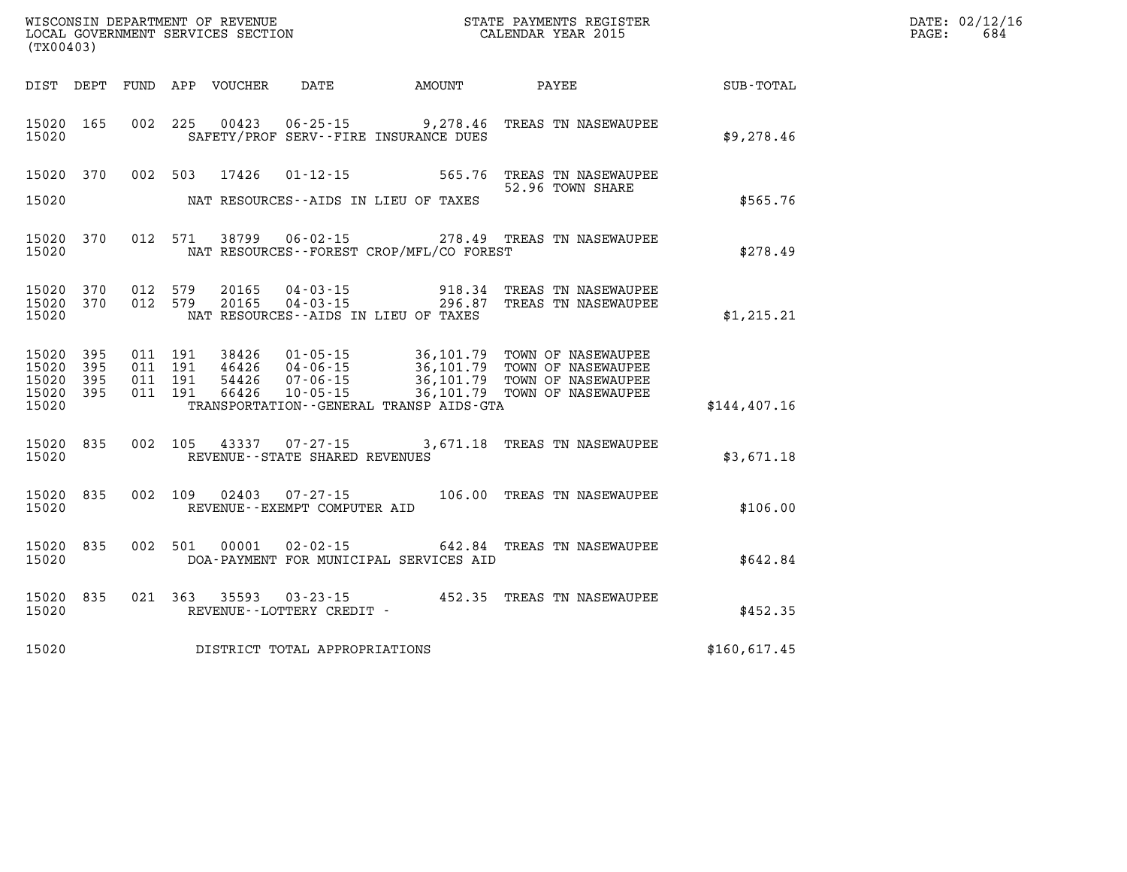| (TX00403)                                         |            |                                          |         |                                  |                                                                   |        |  |                                                                                                                                                                   |  | $\mathtt{PAGE}$ : | DATE: 02/12/16<br>684 |  |
|---------------------------------------------------|------------|------------------------------------------|---------|----------------------------------|-------------------------------------------------------------------|--------|--|-------------------------------------------------------------------------------------------------------------------------------------------------------------------|--|-------------------|-----------------------|--|
|                                                   |            |                                          |         | DIST DEPT FUND APP VOUCHER DATE  |                                                                   | AMOUNT |  | PAYEE                                                                                                                                                             |  | SUB-TOTAL         |                       |  |
| 15020 165<br>15020                                |            |                                          |         | 002 225 00423                    | $06 - 25 - 15$ 9, 278.46<br>SAFETY/PROF SERV--FIRE INSURANCE DUES |        |  | TREAS TN NASEWAUPEE                                                                                                                                               |  | \$9,278.46        |                       |  |
| 15020                                             | 15020 370  |                                          | 002 503 | 17426                            | NAT RESOURCES--AIDS IN LIEU OF TAXES                              |        |  | 01-12-15 565.76 TREAS TN NASEWAUPEE<br>52.96 TOWN SHARE                                                                                                           |  | \$565.76          |                       |  |
| 15020                                             | 15020 370  |                                          |         |                                  | NAT RESOURCES - FOREST CROP/MFL/CO FOREST                         |        |  | 012 571 38799 06-02-15 278.49 TREAS TN NASEWAUPEE                                                                                                                 |  | \$278.49          |                       |  |
| 15020 370<br>15020                                | 15020 370  | 012 579<br>012 579                       |         | 20165<br>20165                   | NAT RESOURCES--AIDS IN LIEU OF TAXES                              |        |  | 04-03-15 918.34 TREAS TN NASEWAUPEE<br>04-03-15 296.87 TREAS TN NASEWAUPEE                                                                                        |  | \$1,215.21        |                       |  |
| 15020 395<br>15020<br>15020<br>15020 395<br>15020 | 395<br>395 | 011 191<br>011 191<br>011 191<br>011 191 |         | 38426<br>46426<br>54426<br>66426 | TRANSPORTATION - - GENERAL TRANSP AIDS - GTA                      |        |  | 01-05-15 36,101.79 TOWN OF NASEWAUPEE<br>04-06-15<br>07-06-15<br>07-06-15<br>10-05-15<br>36,101.79 TOWN OF NASEWAUPEE<br>10-05-15<br>36,101.79 TOWN OF NASEWAUPEE |  | \$144,407.16      |                       |  |
| 15020                                             | 15020 835  |                                          |         |                                  | 002 105 43337 07-27-15<br>REVENUE--STATE SHARED REVENUES          |        |  | 3,671.18 TREAS TN NASEWAUPEE                                                                                                                                      |  | \$3,671.18        |                       |  |
| 15020                                             | 15020 835  |                                          |         |                                  | REVENUE--EXEMPT COMPUTER AID                                      |        |  | 002 109 02403 07-27-15 106.00 TREAS TN NASEWAUPEE                                                                                                                 |  | \$106.00          |                       |  |
| 15020                                             | 15020 835  |                                          | 002 501 | 00001                            | DOA-PAYMENT FOR MUNICIPAL SERVICES AID                            |        |  | 02-02-15 642.84 TREAS TN NASEWAUPEE                                                                                                                               |  | \$642.84          |                       |  |
| 15020                                             | 15020 835  |                                          |         |                                  | REVENUE--LOTTERY CREDIT -                                         |        |  | 021 363 35593 03-23-15 452.35 TREAS TN NASEWAUPEE                                                                                                                 |  | \$452.35          |                       |  |
| 15020                                             |            |                                          |         |                                  | DISTRICT TOTAL APPROPRIATIONS                                     |        |  |                                                                                                                                                                   |  | \$160,617.45      |                       |  |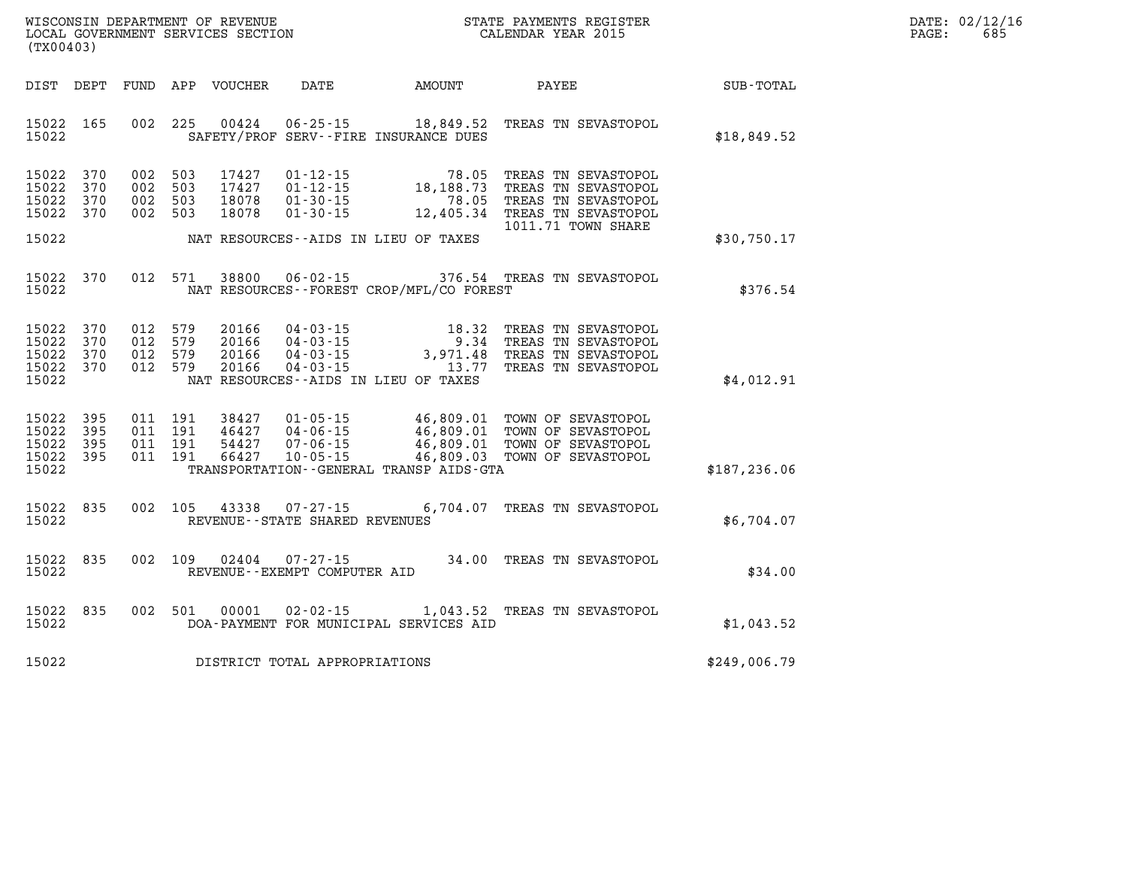| WISCONSIN DEPARTMENT OF REVENUE   | STATE PAYMENTS REGISTER |       | DATE: 02/12/16 |
|-----------------------------------|-------------------------|-------|----------------|
| LOCAL GOVERNMENT SERVICES SECTION | CALENDAR YEAR 2015      | PAGE: | 68!            |

|                                           | LOCAL GOVERNMENT SERVICES SECTION<br>(TX00403) |  |                                          |                                  |                                                                      | CALENDAR YEAR 2015                          |                                                                                                                                                                              |               | PAGE: | 685 |
|-------------------------------------------|------------------------------------------------|--|------------------------------------------|----------------------------------|----------------------------------------------------------------------|---------------------------------------------|------------------------------------------------------------------------------------------------------------------------------------------------------------------------------|---------------|-------|-----|
|                                           | DIST DEPT                                      |  |                                          | FUND APP VOUCHER                 |                                                                      |                                             | DATE AMOUNT PAYEE SUB-TOTAL                                                                                                                                                  |               |       |     |
| 15022                                     | 15022 165                                      |  | 002 225                                  | 00424                            |                                                                      | SAFETY/PROF SERV--FIRE INSURANCE DUES       | 06-25-15 18,849.52 TREAS TN SEVASTOPOL                                                                                                                                       | \$18,849.52   |       |     |
| 15022<br>15022<br>15022                   | 370<br>370<br>370<br>15022 370                 |  | 002 503<br>002 503<br>002 503<br>002 503 | 17427<br>17427<br>18078<br>18078 | $01 - 30 - 15$<br>$01 - 30 - 15$                                     |                                             | 01-12-15<br>01-12-15 78.05 TREAS TN SEVASTOPOL<br>01-12-15 18,188.73 TREAS TN SEVASTOPOL<br>78.05 TREAS TN SEVASTOPOL<br>12,405.34 TREAS TN SEVASTOPOL<br>1011.71 TOWN SHARE |               |       |     |
| 15022                                     |                                                |  |                                          |                                  |                                                                      | NAT RESOURCES--AIDS IN LIEU OF TAXES        |                                                                                                                                                                              | \$30,750.17   |       |     |
| 15022                                     | 15022 370                                      |  | 012 571                                  | 38800                            |                                                                      | NAT RESOURCES - - FOREST CROP/MFL/CO FOREST | 06-02-15 376.54 TREAS TN SEVASTOPOL                                                                                                                                          | \$376.54      |       |     |
| 15022<br>15022<br>15022<br>15022<br>15022 | 370<br>370<br>370<br>370                       |  | 012 579<br>012 579<br>012 579<br>012 579 | 20166<br>20166<br>20166<br>20166 | $04 - 03 - 15$                                                       | NAT RESOURCES--AIDS IN LIEU OF TAXES        | 04-03-15<br>04-03-15<br>04-03-15<br>04-03-15<br>04-03-15<br>04-03-15<br>04-03-15<br>04-03-15<br>04-03-15<br>04-03-15<br>04-03-15<br>13.77 TREAS TN SEVASTOPOL                | \$4,012.91    |       |     |
| 15022<br>15022<br>15022<br>15022<br>15022 | 395<br>395<br>395<br>395                       |  | 011 191<br>011 191<br>011 191<br>011 191 | 38427<br>46427<br>54427<br>66427 | $01 - 05 - 15$<br>$04 - 06 - 15$<br>$07 - 06 - 15$<br>$10 - 05 - 15$ | TRANSPORTATION--GENERAL TRANSP AIDS-GTA     | 46,809.01 TOWN OF SEVASTOPOL<br>46,809.01 TOWN OF SEVASTOPOL<br>46,809.01 TOWN OF SEVASTOPOL<br>46,809.01 TOWN OF SEVASTOPOL<br>46,809.03 TOWN OF SEVASTOPOL                 | \$187, 236.06 |       |     |
| 15022<br>15022                            | 835                                            |  | 002 105                                  | 43338                            | $07 - 27 - 15$<br>REVENUE - - STATE SHARED REVENUES                  |                                             | 6,704.07 TREAS TN SEVASTOPOL                                                                                                                                                 | \$6,704.07    |       |     |
| 15022<br>15022                            | 835                                            |  | 002 109                                  | 02404                            | $07 - 27 - 15$<br>REVENUE--EXEMPT COMPUTER AID                       |                                             | 34.00 TREAS TN SEVASTOPOL                                                                                                                                                    | \$34.00       |       |     |
| 15022<br>15022                            | 835                                            |  | 002 501                                  | 00001                            |                                                                      | DOA-PAYMENT FOR MUNICIPAL SERVICES AID      | 02-02-15 1,043.52 TREAS TN SEVASTOPOL                                                                                                                                        | \$1,043.52    |       |     |
| 15022                                     |                                                |  |                                          |                                  | DISTRICT TOTAL APPROPRIATIONS                                        |                                             |                                                                                                                                                                              | \$249,006.79  |       |     |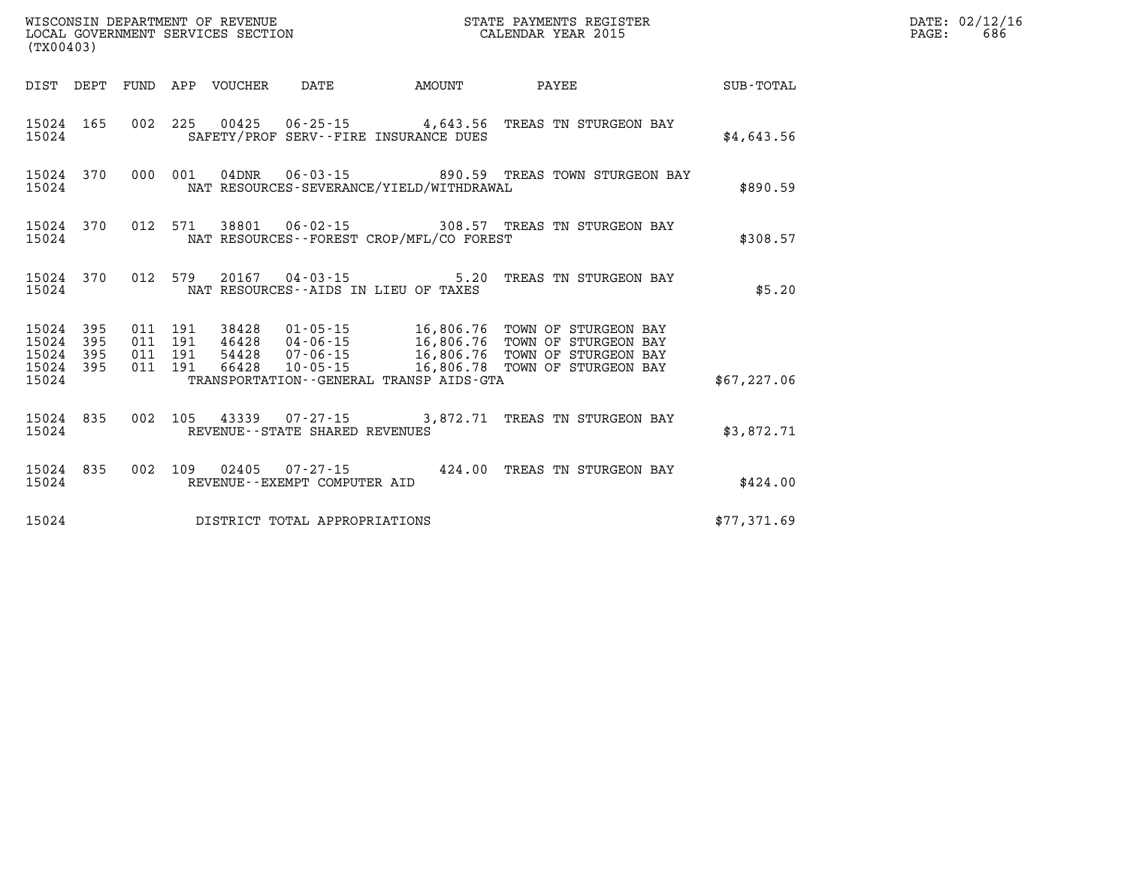| (TX00403)                                 |                          |                          |                          | WISCONSIN DEPARTMENT OF REVENUE<br>LOCAL GOVERNMENT SERVICES SECTION |                                                     | STATE PAYMENTS REGISTER<br>CALENDAR YEAR 2015                                               |                                                                                              |                  |  |  |
|-------------------------------------------|--------------------------|--------------------------|--------------------------|----------------------------------------------------------------------|-----------------------------------------------------|---------------------------------------------------------------------------------------------|----------------------------------------------------------------------------------------------|------------------|--|--|
| DIST                                      | DEPT                     | FUND                     | APP                      | VOUCHER                                                              | DATE                                                | AMOUNT                                                                                      | PAYEE                                                                                        | <b>SUB-TOTAL</b> |  |  |
| 15024<br>15024                            | 165                      | 002                      | 225                      |                                                                      |                                                     | $00425$ $06-25-15$ 4,643.56<br>SAFETY/PROF SERV--FIRE INSURANCE DUES                        | TREAS TN STURGEON BAY                                                                        | \$4,643.56       |  |  |
| 15024<br>15024                            | 370                      | 000                      | 001                      | $04$ DNR                                                             |                                                     | $06 - 03 - 15$ 890.59<br>NAT RESOURCES-SEVERANCE/YIELD/WITHDRAWAL                           | TREAS TOWN STURGEON BAY                                                                      | \$890.59         |  |  |
| 15024<br>15024                            | 370                      | 012                      | 571                      |                                                                      | 38801 06-02-15                                      | NAT RESOURCES - - FOREST CROP/MFL/CO FOREST                                                 | 308.57 TREAS TN STURGEON BAY                                                                 | \$308.57         |  |  |
| 15024<br>15024                            | 370                      | 012                      | 579                      |                                                                      | 20167 04 - 03 - 15                                  | 5.20<br>NAT RESOURCES--AIDS IN LIEU OF TAXES                                                | TREAS TN STURGEON BAY                                                                        | \$5.20           |  |  |
| 15024<br>15024<br>15024<br>15024<br>15024 | 395<br>395<br>395<br>395 | 011<br>011<br>011<br>011 | 191<br>191<br>191<br>191 | 38428<br>46428<br>54428<br>66428                                     | 01-05-15<br>04-06-15<br>07-06-15<br>$10 - 05 - 15$  | 16,806.76<br>16,806.76<br>16,806.76<br>16,806.78<br>TRANSPORTATION--GENERAL TRANSP AIDS-GTA | TOWN OF STURGEON BAY<br>TOWN OF STURGEON BAY<br>TOWN OF STURGEON BAY<br>TOWN OF STURGEON BAY | \$67, 227.06     |  |  |
| 15024<br>15024                            | 835                      | 002                      | 105                      | 43339                                                                | $07 - 27 - 15$<br>REVENUE - - STATE SHARED REVENUES |                                                                                             | 3,872.71 TREAS TN STURGEON BAY                                                               | \$3,872.71       |  |  |
| 15024<br>15024                            | 835                      | 002                      | 109                      | 02405                                                                | $07 - 27 - 15$<br>REVENUE--EXEMPT COMPUTER AID      | 424.00                                                                                      | TREAS TN STURGEON BAY                                                                        | \$424.00         |  |  |
| 15024                                     |                          |                          |                          |                                                                      | DISTRICT TOTAL APPROPRIATIONS                       |                                                                                             |                                                                                              | \$77,371.69      |  |  |

**DATE: 02/12/16<br>PAGE: 686**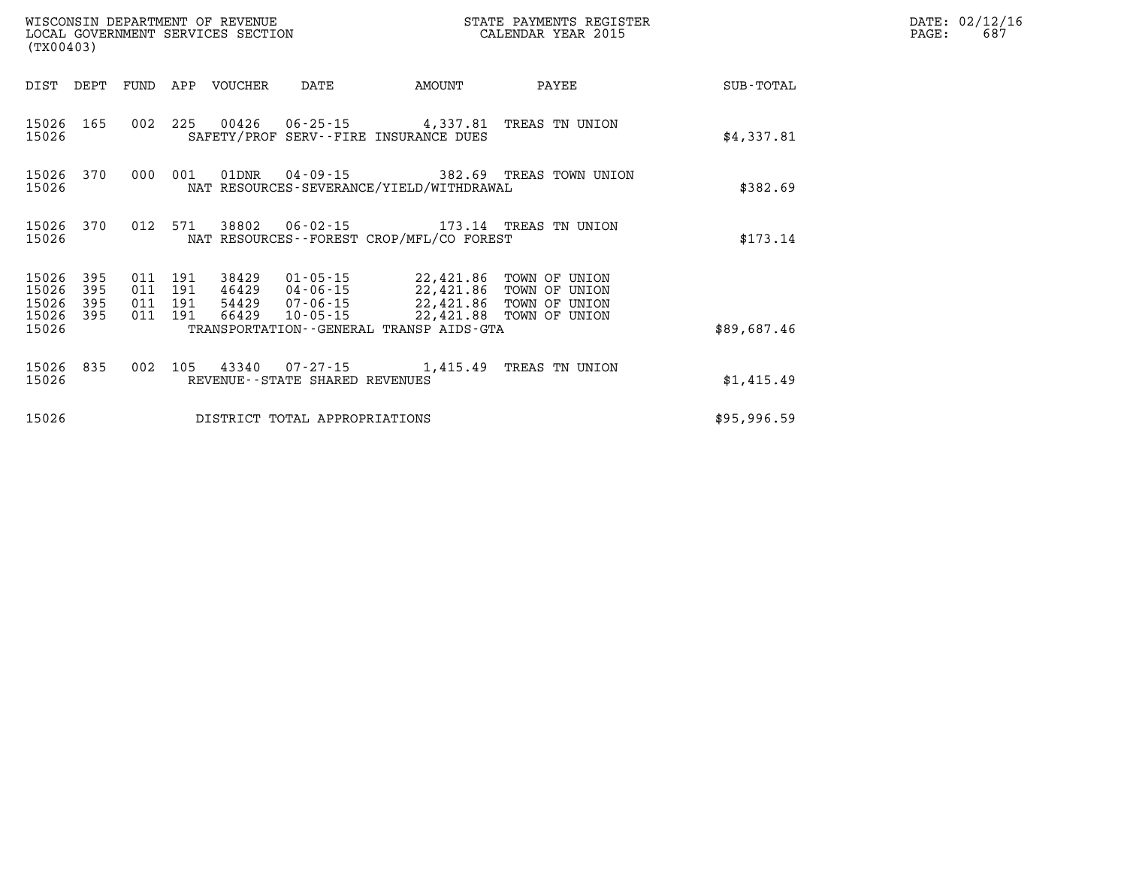| (TX00403)                                         |                |                   |                                          | WISCONSIN DEPARTMENT OF REVENUE | LOCAL GOVERNMENT SERVICES SECTION |                                                                                                                                                                                                                          | STATE PAYMENTS REGISTER<br>CALENDAR YEAR 2015 |             | DATE: 02/12/16<br>687<br>PAGE: |
|---------------------------------------------------|----------------|-------------------|------------------------------------------|---------------------------------|-----------------------------------|--------------------------------------------------------------------------------------------------------------------------------------------------------------------------------------------------------------------------|-----------------------------------------------|-------------|--------------------------------|
|                                                   | DIST DEPT FUND |                   |                                          | APP VOUCHER                     | DATE                              | AMOUNT                                                                                                                                                                                                                   | PAYEE                                         | SUB-TOTAL   |                                |
| 15026                                             | 15026 165      |                   |                                          |                                 |                                   | 002 225 00426 06-25-15 4,337.81 TREAS TN UNION<br>SAFETY/PROF SERV--FIRE INSURANCE DUES                                                                                                                                  |                                               | \$4,337.81  |                                |
| 15026                                             |                | 15026 370 000 001 |                                          |                                 |                                   | NAT RESOURCES-SEVERANCE/YIELD/WITHDRAWAL                                                                                                                                                                                 | 01DNR  04-09-15  382.69 TREAS TOWN UNION      | \$382.69    |                                |
| 15026                                             | 15026 370      |                   |                                          |                                 |                                   | NAT RESOURCES - - FOREST CROP/MFL/CO FOREST                                                                                                                                                                              | 012 571 38802 06-02-15 173.14 TREAS TN UNION  | \$173.14    |                                |
| 15026 395<br>15026<br>15026<br>15026 395<br>15026 | 395<br>395     |                   | 011 191<br>011 191<br>011 191<br>011 191 | 66429                           |                                   | 38429   01-05-15   22,421.86   TOWN OF UNION<br>46429   04-06-15   22,421.86   TOWN OF UNION<br>54429  07-06-15  22,421.86  TOWN OF UNION<br>10-05-15 22,421.88 TOWN OF UNION<br>TRANSPORTATION--GENERAL TRANSP AIDS-GTA |                                               | \$89,687.46 |                                |
| 15026 835<br>15026                                |                |                   | 002 105                                  |                                 | REVENUE--STATE SHARED REVENUES    | 43340  07-27-15  1,415.49  TREAS TN UNION                                                                                                                                                                                |                                               | \$1,415.49  |                                |
| 15026                                             |                |                   |                                          |                                 | DISTRICT TOTAL APPROPRIATIONS     |                                                                                                                                                                                                                          |                                               | \$95,996.59 |                                |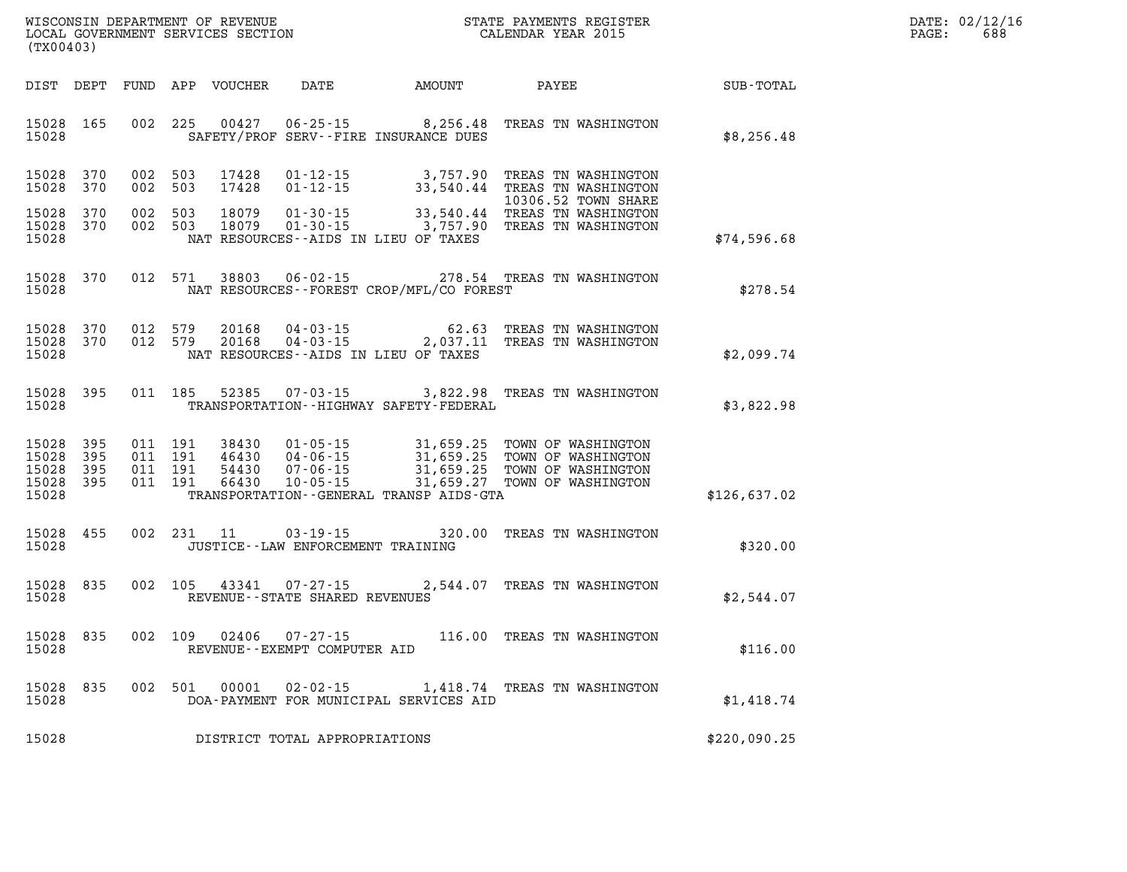| WISCONSIN DEPARTMENT OF REVENUE   | STATE PAYMENTS REGISTER |       | DATE: 02/12/16 |
|-----------------------------------|-------------------------|-------|----------------|
| LOCAL GOVERNMENT SERVICES SECTION | CALENDAR YEAR 2015      | PAGE: | 688            |

|                                               | LOCAL GOVERNMENT SERVICES SECTION<br>(TX00403) |  |         |                        |                                      |                                              | CALENDAR YEAR 2015                                                                                                                                                                                                                                                                                                                                           |              | PAGE: | 688 |
|-----------------------------------------------|------------------------------------------------|--|---------|------------------------|--------------------------------------|----------------------------------------------|--------------------------------------------------------------------------------------------------------------------------------------------------------------------------------------------------------------------------------------------------------------------------------------------------------------------------------------------------------------|--------------|-------|-----|
|                                               |                                                |  |         |                        |                                      | DIST DEPT FUND APP VOUCHER DATE AMOUNT PAYEE |                                                                                                                                                                                                                                                                                                                                                              | SUB-TOTAL    |       |     |
| 15028 165<br>15028                            |                                                |  |         |                        |                                      | SAFETY/PROF SERV--FIRE INSURANCE DUES        | 002 225 00427 06-25-15 8,256.48 TREAS TN WASHINGTON                                                                                                                                                                                                                                                                                                          | \$8,256.48   |       |     |
| 15028                                         | 15028 370<br>370                               |  | 002 503 | 002 503 17428<br>17428 |                                      |                                              | 01-12-15 3,757.90 TREAS TN WASHINGTON<br>01-12-15 33,540.44 TREAS TN WASHINGTON<br>10306.52 TOWN SHARE                                                                                                                                                                                                                                                       |              |       |     |
| 15028<br>15028 370<br>15028                   | 370                                            |  |         |                        |                                      | NAT RESOURCES--AIDS IN LIEU OF TAXES         | 002 503 18079 01-30-15 33,540.44 TREAS TN WASHINGTON<br>002 503 18079 01-30-15 3,757.90 TREAS TN WASHINGTON                                                                                                                                                                                                                                                  | \$74,596.68  |       |     |
| 15028                                         | 15028 370                                      |  |         | 012 571 38803          |                                      | NAT RESOURCES--FOREST CROP/MFL/CO FOREST     | 06-02-15 278.54 TREAS TN WASHINGTON                                                                                                                                                                                                                                                                                                                          | \$278.54     |       |     |
| 15028                                         | 15028 370<br>15028 370                         |  |         |                        |                                      | NAT RESOURCES--AIDS IN LIEU OF TAXES         | 012 579 20168 04-03-15 62.63 TREAS TN WASHINGTON 012 579 20168 04-03-15 2,037.11 TREAS TN WASHINGTON                                                                                                                                                                                                                                                         | \$2,099.74   |       |     |
| 15028                                         | 15028 395                                      |  |         |                        |                                      | TRANSPORTATION--HIGHWAY SAFETY-FEDERAL       | 011 185 52385 07-03-15 3,822.98 TREAS TN WASHINGTON                                                                                                                                                                                                                                                                                                          | \$3,822.98   |       |     |
| 15028<br>15028<br>15028<br>15028 395<br>15028 | 395<br>395<br>395                              |  |         |                        |                                      | TRANSPORTATION--GENERAL TRANSP AIDS-GTA      | $\begin{array}{cccc} 011 & 191 & 38430 & 01\cdot 05\cdot 15 & 31,659.25 & \text{TOWN OF WASHINGTON} \\ 011 & 191 & 46430 & 04\cdot 06\cdot 15 & 31,659.25 & \text{TOWN OF WASHINGTON} \\ 011 & 191 & 54430 & 07\cdot 06\cdot 15 & 31,659.25 & \text{TOWN OF WASHINGTON} \\ 011 & 191 & 66430 & 10\cdot 05\cdot 15 & 31,659.27 & \text{TOWN OF WASHINGTON} \$ | \$126,637.02 |       |     |
| 15028<br>15028                                | 455                                            |  |         |                        | JUSTICE - - LAW ENFORCEMENT TRAINING |                                              | 002 231 11 03-19-15 320.00 TREAS TN WASHINGTON                                                                                                                                                                                                                                                                                                               | \$320.00     |       |     |
| 15028<br>15028                                | 835                                            |  |         |                        | REVENUE--STATE SHARED REVENUES       |                                              | 002 105 43341 07-27-15 2,544.07 TREAS TN WASHINGTON                                                                                                                                                                                                                                                                                                          | \$2,544.07   |       |     |
| 15028<br>15028                                | 835                                            |  |         | 002 109 02406          | REVENUE--EXEMPT COMPUTER AID         |                                              | 07-27-15 116.00 TREAS TN WASHINGTON                                                                                                                                                                                                                                                                                                                          | \$116.00     |       |     |
| 15028<br>15028                                | 835                                            |  |         |                        |                                      | DOA-PAYMENT FOR MUNICIPAL SERVICES AID       | 002 501 00001 02-02-15 1,418.74 TREAS TN WASHINGTON                                                                                                                                                                                                                                                                                                          | \$1,418.74   |       |     |
| 15028                                         |                                                |  |         |                        | DISTRICT TOTAL APPROPRIATIONS        |                                              |                                                                                                                                                                                                                                                                                                                                                              | \$220,090.25 |       |     |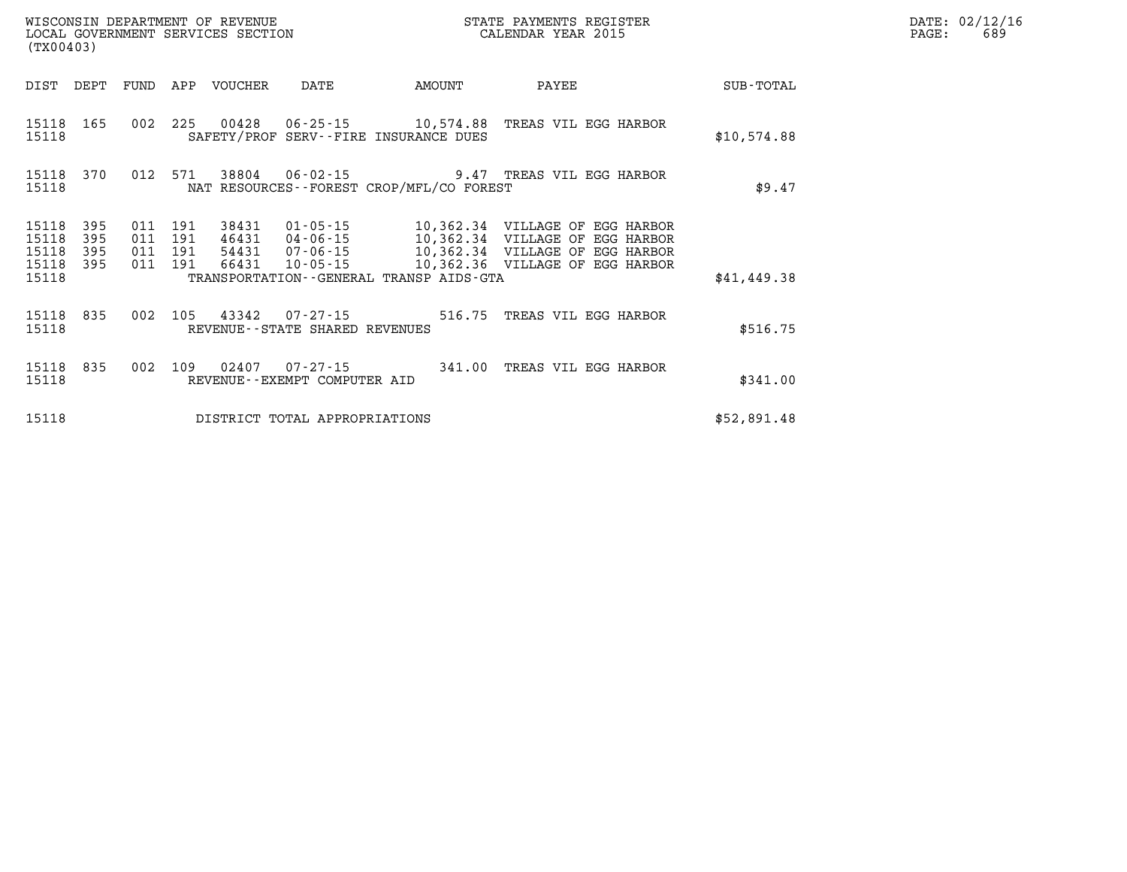| (TX00403)                        |                          |                          |                          | WISCONSIN DEPARTMENT OF REVENUE<br>LOCAL GOVERNMENT SERVICES SECTION |                                                    |                                                             | STATE PAYMENTS REGISTER<br>CALENDAR YEAR 2015                                                                                               |             |
|----------------------------------|--------------------------|--------------------------|--------------------------|----------------------------------------------------------------------|----------------------------------------------------|-------------------------------------------------------------|---------------------------------------------------------------------------------------------------------------------------------------------|-------------|
| DIST                             | DEPT                     | FUND                     | APP                      | <b>VOUCHER</b>                                                       | DATE                                               | AMOUNT                                                      | PAYEE                                                                                                                                       | SUB-TOTAL   |
| 15118<br>15118                   | 165                      | 002                      | 225                      | 00428                                                                |                                                    | 06-25-15 10,574.88<br>SAFETY/PROF SERV--FIRE INSURANCE DUES | TREAS VIL EGG HARBOR                                                                                                                        | \$10,574.88 |
| 15118<br>15118                   | 370                      | 012                      | 571                      |                                                                      | 38804 06-02-15                                     | NAT RESOURCES - - FOREST CROP/MFL/CO FOREST                 | 9.47 TREAS VIL EGG HARBOR                                                                                                                   | \$9.47      |
| 15118<br>15118<br>15118<br>15118 | 395<br>395<br>395<br>395 | 011<br>011<br>011<br>011 | 191<br>191<br>191<br>191 | 38431<br>46431<br>54431<br>66431                                     | $01 - 05 - 15$<br>04-06-15<br>07-06-15<br>10-05-15 |                                                             | 10,362.34 VILLAGE OF EGG HARBOR<br>10,362.34 VILLAGE OF<br>EGG HARBOR<br>10,362.34 VILLAGE OF EGG HARBOR<br>10,362.36 VILLAGE OF EGG HARBOR |             |
| 15118                            |                          |                          |                          |                                                                      |                                                    | TRANSPORTATION--GENERAL TRANSP AIDS-GTA                     |                                                                                                                                             | \$41,449.38 |
| 15118<br>15118                   | 835                      | 002                      | 105                      | 43342                                                                | 07-27-15<br>REVENUE--STATE SHARED REVENUES         | 516.75                                                      | TREAS VIL EGG HARBOR                                                                                                                        | \$516.75    |
| 15118<br>15118                   | 835                      | 002                      | 109                      | 02407                                                                | $07 - 27 - 15$<br>REVENUE - - EXEMPT COMPUTER AID  | 341.00                                                      | TREAS VIL EGG HARBOR                                                                                                                        | \$341.00    |
| 15118                            |                          |                          |                          |                                                                      | DISTRICT TOTAL APPROPRIATIONS                      |                                                             |                                                                                                                                             | \$52,891.48 |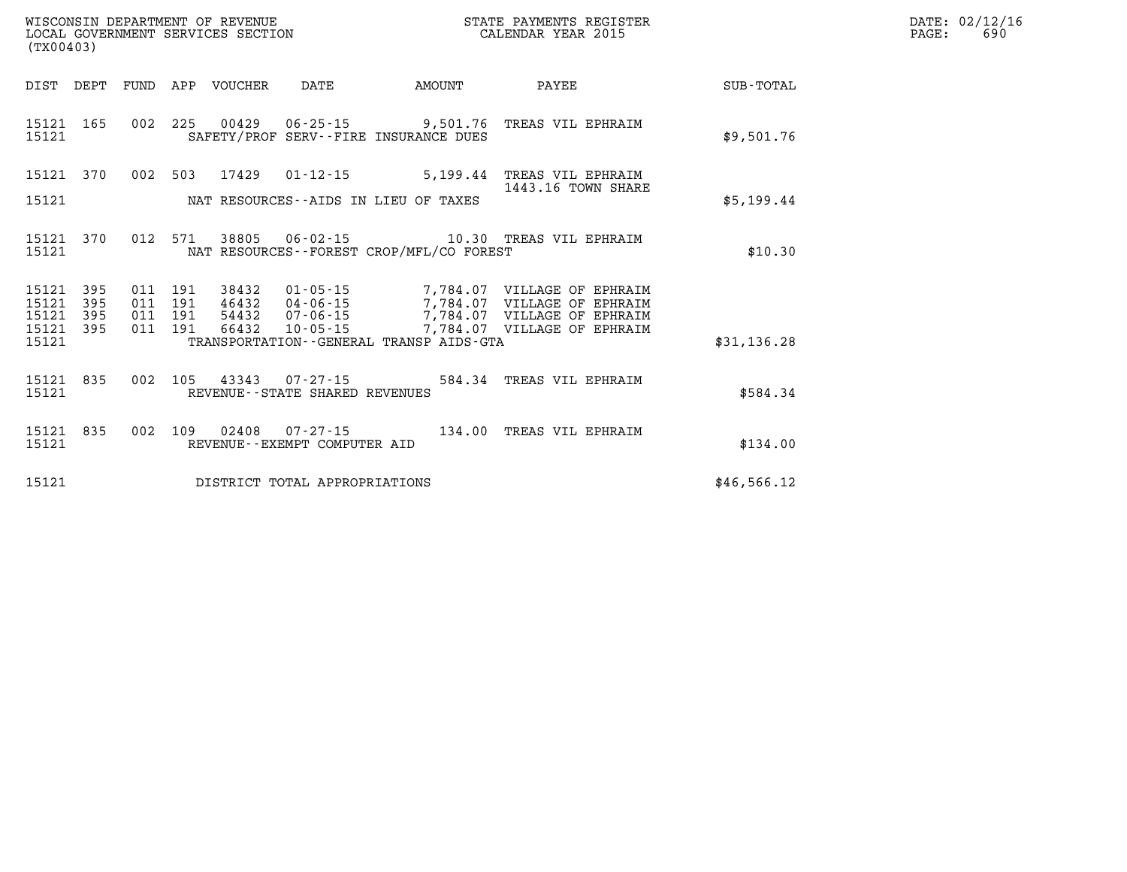| DATE: | 02/12/16 |
|-------|----------|
| PAGE: | 690      |

|                         | WISCONSIN DEPARTMENT OF REVENUE<br>LOCAL GOVERNMENT SERVICES SECTION<br>(TX00403) |            |            |                |                                                     |                                             | STATE PAYMENTS REGISTER<br>CALENDAR YEAR 2015              |             |
|-------------------------|-----------------------------------------------------------------------------------|------------|------------|----------------|-----------------------------------------------------|---------------------------------------------|------------------------------------------------------------|-------------|
| DIST                    | DEPT                                                                              | FUND       | APP        | VOUCHER DATE   |                                                     | <b>AMOUNT</b>                               | <b>PAYEE</b>                                               | SUB-TOTAL   |
| 15121<br>15121          | 165                                                                               | 002        | 225        |                | SAFETY/PROF SERV--FIRE INSURANCE DUES               |                                             | 00429  06-25-15  9,501.76  TREAS VIL EPHRAIM               | \$9,501.76  |
| 15121                   | 370                                                                               | 002        | 503        | 17429          |                                                     |                                             | 01-12-15 5,199.44 TREAS VIL EPHRAIM<br>1443.16 TOWN SHARE  |             |
| 15121                   |                                                                                   |            |            |                | NAT RESOURCES--AIDS IN LIEU OF TAXES                |                                             |                                                            | \$5,199.44  |
| 15121<br>15121          | 370                                                                               | 012        | 571        |                |                                                     | NAT RESOURCES - - FOREST CROP/MFL/CO FOREST |                                                            | \$10.30     |
| 15121<br>15121          | 395<br>395                                                                        | 011<br>011 | 191<br>191 | 38432<br>46432 | $01 - 05 - 15$<br>04 - 06 - 15<br>07 - 06 - 15      |                                             | 7,784.07 VILLAGE OF EPHRAIM<br>7,784.07 VILLAGE OF EPHRAIM |             |
| 15121<br>15121<br>15121 | 395<br>395                                                                        | 011<br>011 | 191<br>191 | 54432<br>66432 | $10 - 05 - 15$                                      | TRANSPORTATION--GENERAL TRANSP AIDS-GTA     | 7,784.07 VILLAGE OF EPHRAIM<br>7,784.07 VILLAGE OF EPHRAIM | \$31,136.28 |
| 15121<br>15121          | 835                                                                               | 002        | 105        | 43343          | $07 - 27 - 15$<br>REVENUE - - STATE SHARED REVENUES | 584.34                                      | TREAS VIL EPHRAIM                                          | \$584.34    |
| 15121<br>15121          | 835                                                                               | 002        | 109        | 02408          | $07 - 27 - 15$<br>REVENUE--EXEMPT COMPUTER AID      |                                             | 134.00 TREAS VIL EPHRAIM                                   | \$134.00    |
| 15121                   |                                                                                   |            |            |                | DISTRICT TOTAL APPROPRIATIONS                       |                                             |                                                            | \$46,566.12 |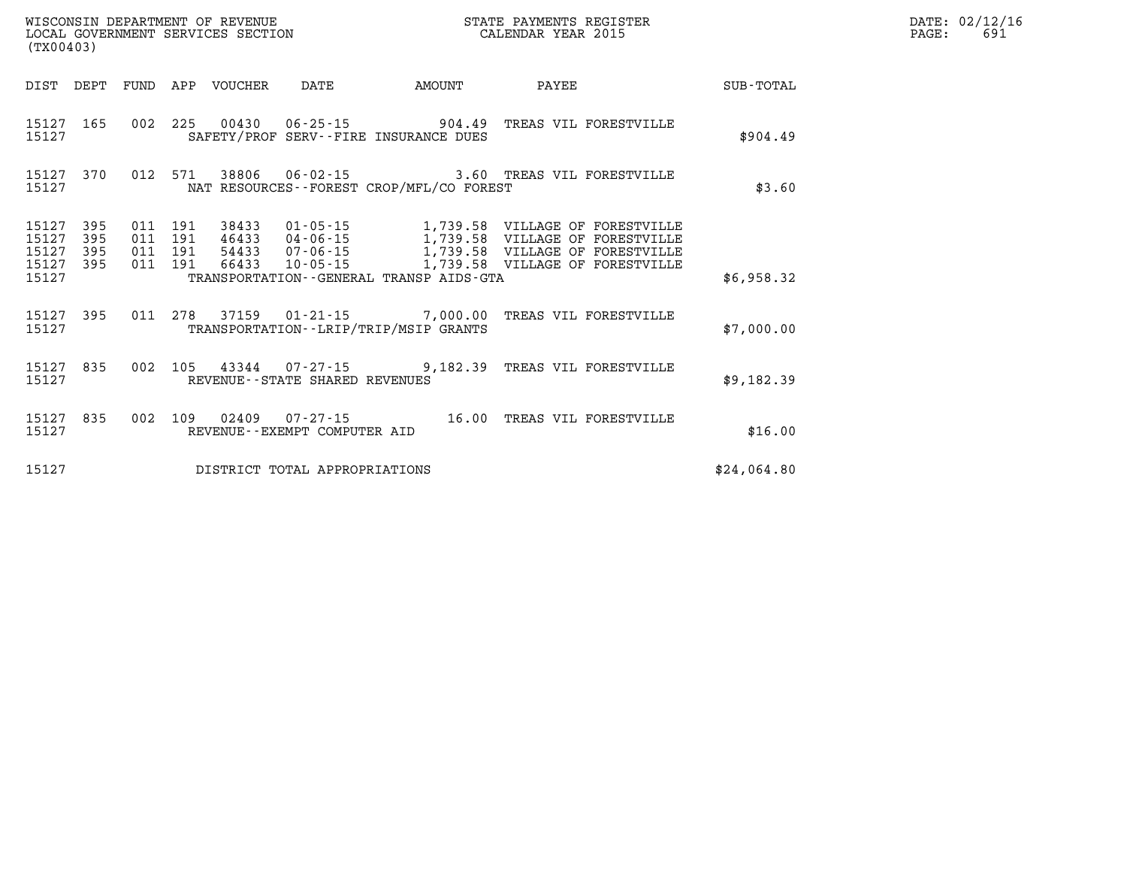| WISCONSIN DEPARTMENT OF REVENUE   | STATE PAYMENTS REGISTER |       | DATE: 02/12/16 |
|-----------------------------------|-------------------------|-------|----------------|
| LOCAL GOVERNMENT SERVICES SECTION | CALENDAR YEAR 2015      | PAGE: |                |

| LOCAL GOVERNMENT SERVICES SECTION<br>(TX00403) |                                          | CALENDAR YEAR 2015                                                                                                    |             | PAGE: | 691 |
|------------------------------------------------|------------------------------------------|-----------------------------------------------------------------------------------------------------------------------|-------------|-------|-----|
|                                                |                                          |                                                                                                                       |             |       |     |
| 15127                                          | SAFETY/PROF SERV--FIRE INSURANCE DUES    | 15127 165 002 225 00430 06-25-15 904.49 TREAS VIL FORESTVILLE                                                         | \$904.49    |       |     |
| 15127 370<br>15127                             | NAT RESOURCES--FOREST CROP/MFL/CO FOREST | 012 571 38806 06-02-15 3.60 TREAS VIL FORESTVILLE                                                                     | \$3.60      |       |     |
| 15127<br>395<br>15127<br>395                   |                                          | 011  191  38433  01-05-15  1,739.58  VILLAGE OF FORESTVILLE<br>011 191 46433 04-06-15 1,739.58 VILLAGE OF FORESTVILLE |             |       |     |
| 15127<br>395<br>15127 395<br>15127             | TRANSPORTATION--GENERAL TRANSP AIDS-GTA  | 011 191 54433 07-06-15 1,739.58 VILLAGE OF FORESTVILLE<br>011 191 66433 10-05-15 1,739.58 VILLAGE OF FORESTVILLE      | \$6,958.32  |       |     |
| 15127 395<br>15127                             | TRANSPORTATION - - LRIP/TRIP/MSIP GRANTS | 011  278  37159  01-21-15  7,000.00 TREAS VIL FORESTVILLE                                                             | \$7,000.00  |       |     |
| 15127 835<br>15127                             | REVENUE--STATE SHARED REVENUES           | 002 105 43344 07-27-15 9,182.39 TREAS VIL FORESTVILLE                                                                 | \$9,182.39  |       |     |
| 15127 835<br>15127                             | REVENUE--EXEMPT COMPUTER AID             | 002 109 02409 07-27-15 16.00 TREAS VIL FORESTVILLE                                                                    | \$16.00     |       |     |
| 15127                                          | DISTRICT TOTAL APPROPRIATIONS            |                                                                                                                       | \$24,064.80 |       |     |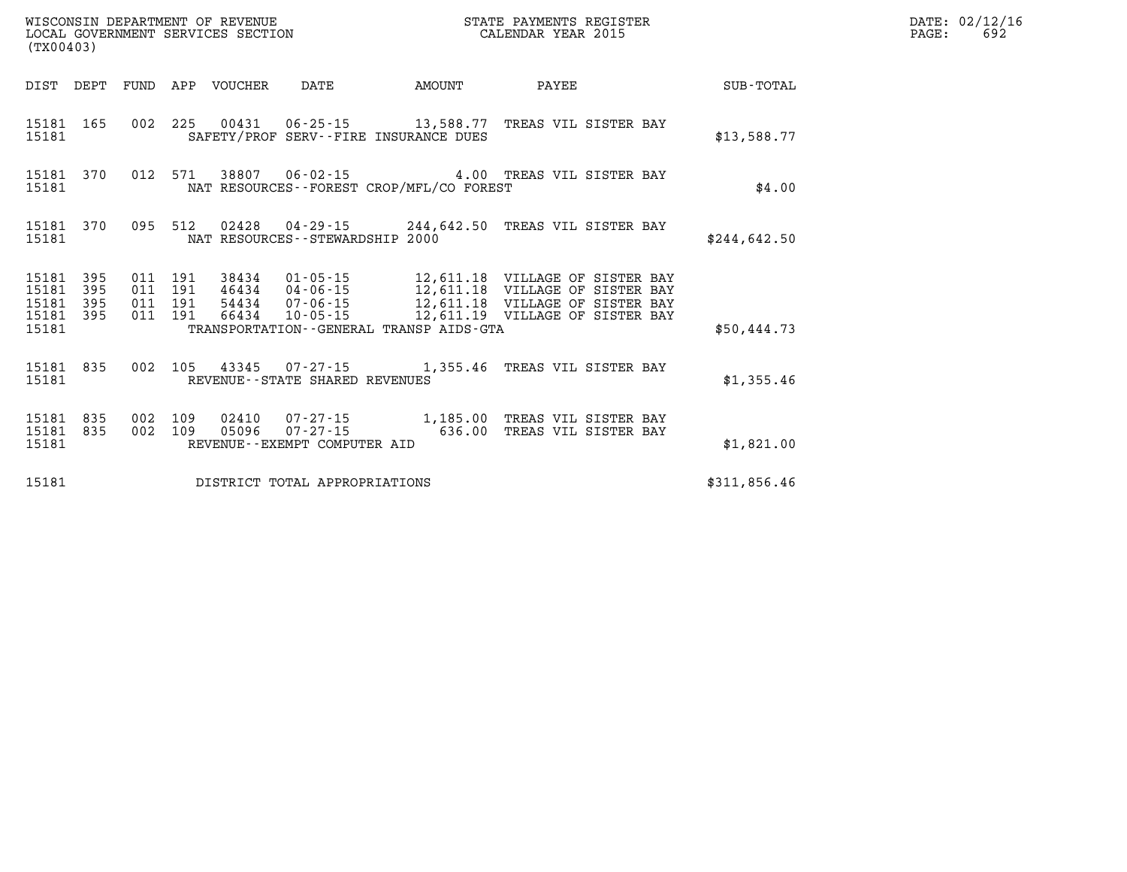|                                          | WISCONSIN DEPARTMENT OF REVENUE<br>LOCAL GOVERNMENT SERVICES SECTION<br>(TX00403) |         |         |                  |                                                 |                                             | STATE PAYMENTS REGISTER<br>CALENDAR YEAR 2015          |              | DATE: 02/12/16<br>PAGE:<br>692 |
|------------------------------------------|-----------------------------------------------------------------------------------|---------|---------|------------------|-------------------------------------------------|---------------------------------------------|--------------------------------------------------------|--------------|--------------------------------|
| DIST DEPT                                |                                                                                   |         |         | FUND APP VOUCHER | DATE                                            | <b>EXAMPLE THE PROPERTY OF AMOUNT</b>       | PAYEE                                                  | SUB-TOTAL    |                                |
| 15181 165<br>15181                       |                                                                                   |         |         |                  |                                                 | SAFETY/PROF SERV--FIRE INSURANCE DUES       | 002 225 00431 06-25-15 13,588.77 TREAS VIL SISTER BAY  | \$13,588.77  |                                |
| 15181 370<br>15181                       |                                                                                   |         |         |                  |                                                 | NAT RESOURCES - - FOREST CROP/MFL/CO FOREST | 012 571 38807 06-02-15 4.00 TREAS VIL SISTER BAY       | \$4.00       |                                |
| 15181 370<br>15181                       |                                                                                   |         |         |                  | NAT RESOURCES - - STEWARDSHIP 2000              |                                             | 095 512 02428 04-29-15 244,642.50 TREAS VIL SISTER BAY | \$244,642.50 |                                |
| 15181 395<br>15181<br>15181<br>15181 395 | 395<br>395                                                                        |         |         |                  |                                                 |                                             |                                                        |              |                                |
| 15181                                    |                                                                                   |         |         |                  |                                                 | TRANSPORTATION--GENERAL TRANSP AIDS-GTA     |                                                        | \$50,444.73  |                                |
| 15181 835<br>15181                       |                                                                                   |         |         |                  | REVENUE--STATE SHARED REVENUES                  |                                             | 002 105 43345 07-27-15 1,355.46 TREAS VIL SISTER BAY   | \$1,355.46   |                                |
| 15181 835<br>15181 835<br>15181          |                                                                                   | 002 109 | 002 109 | 02410            | 05096  07-27-15<br>REVENUE--EXEMPT COMPUTER AID | 636.00                                      | TREAS VIL SISTER BAY                                   | \$1,821.00   |                                |
| 15181                                    |                                                                                   |         |         |                  | DISTRICT TOTAL APPROPRIATIONS                   |                                             |                                                        | \$311,856.46 |                                |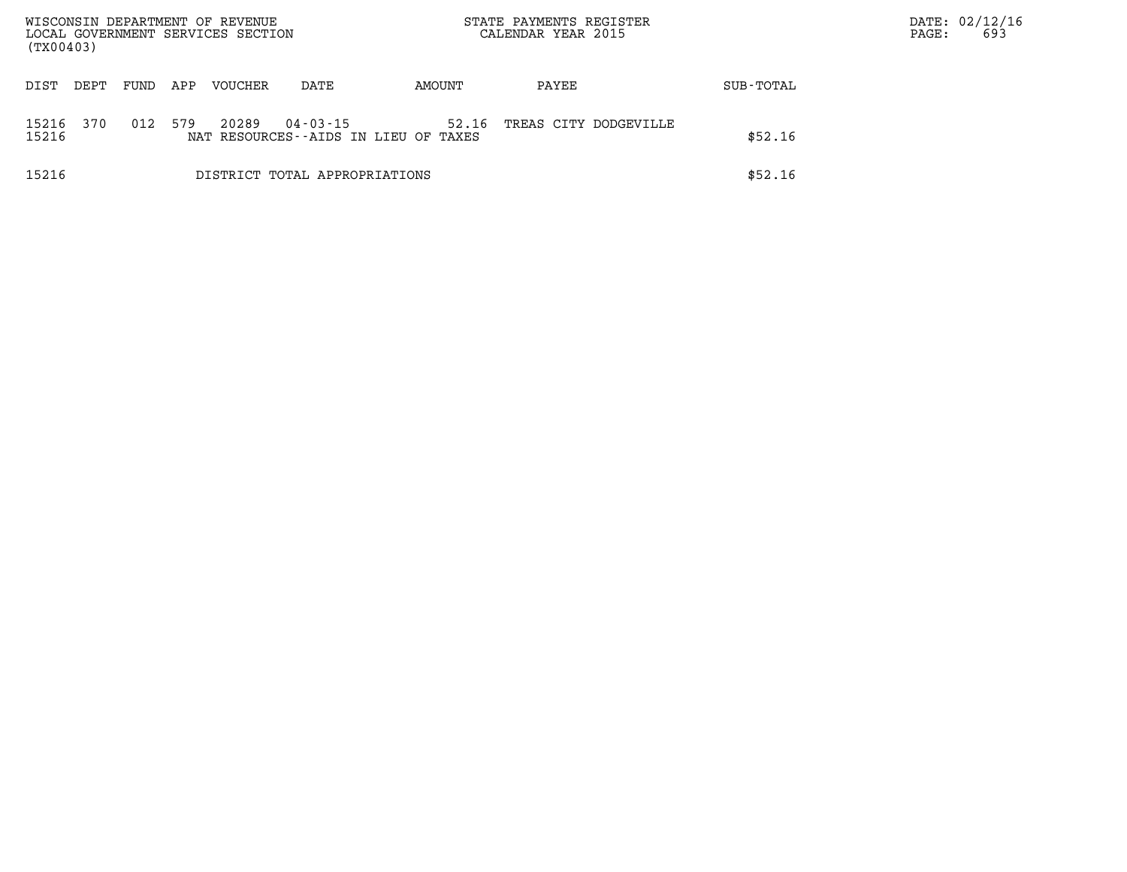| WISCONSIN DEPARTMENT OF REVENUE<br>LOCAL GOVERNMENT SERVICES SECTION<br>(TX00403) |       |      |     |                |                               |                                               | STATE PAYMENTS REGISTER<br>CALENDAR YEAR 2015 |           | PAGE: | DATE: 02/12/16<br>693 |
|-----------------------------------------------------------------------------------|-------|------|-----|----------------|-------------------------------|-----------------------------------------------|-----------------------------------------------|-----------|-------|-----------------------|
| DIST                                                                              | DEPT. | FUND | APP | <b>VOUCHER</b> | DATE                          | AMOUNT                                        | PAYEE                                         | SUB-TOTAL |       |                       |
| 15216<br>15216                                                                    | 370   | 012  | 579 | 20289          | $04 - 03 - 15$                | 52.16<br>NAT RESOURCES--AIDS IN LIEU OF TAXES | TREAS CITY DODGEVILLE                         | \$52.16   |       |                       |
| 15216                                                                             |       |      |     |                | DISTRICT TOTAL APPROPRIATIONS |                                               |                                               | \$52.16   |       |                       |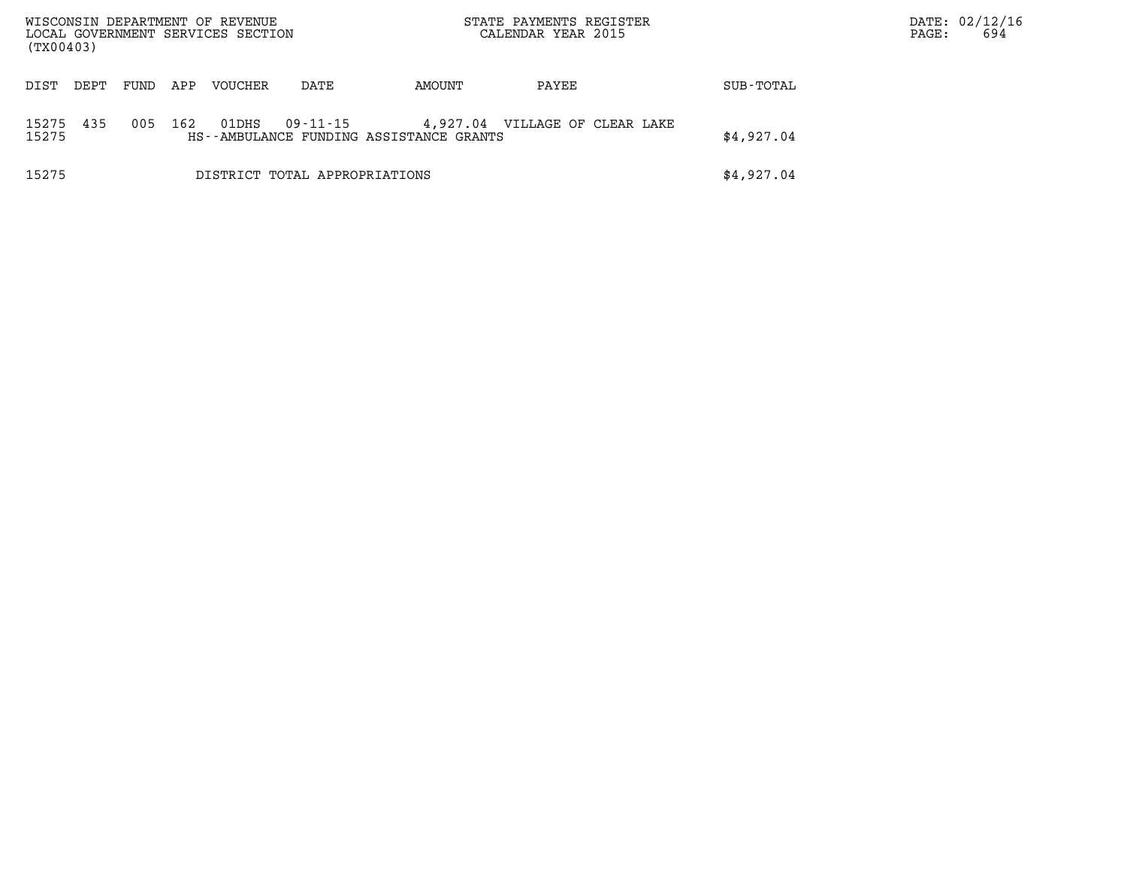| WISCONSIN DEPARTMENT OF REVENUE<br>LOCAL GOVERNMENT SERVICES SECTION<br>(TX00403) |      |      |     |         |                               | STATE PAYMENTS REGISTER<br>CALENDAR YEAR 2015       |                       |            | PAGE: | DATE: 02/12/16<br>694 |
|-----------------------------------------------------------------------------------|------|------|-----|---------|-------------------------------|-----------------------------------------------------|-----------------------|------------|-------|-----------------------|
| DIST                                                                              | DEPT | FUND | APP | VOUCHER | DATE                          | AMOUNT                                              | PAYEE                 | SUB-TOTAL  |       |                       |
| 15275<br>15275                                                                    | 435  | 005  | 162 | 01DHS   | 09-11-15                      | 4,927.04<br>HS--AMBULANCE FUNDING ASSISTANCE GRANTS | VILLAGE OF CLEAR LAKE | \$4,927.04 |       |                       |
| 15275                                                                             |      |      |     |         | DISTRICT TOTAL APPROPRIATIONS |                                                     |                       | \$4,927.04 |       |                       |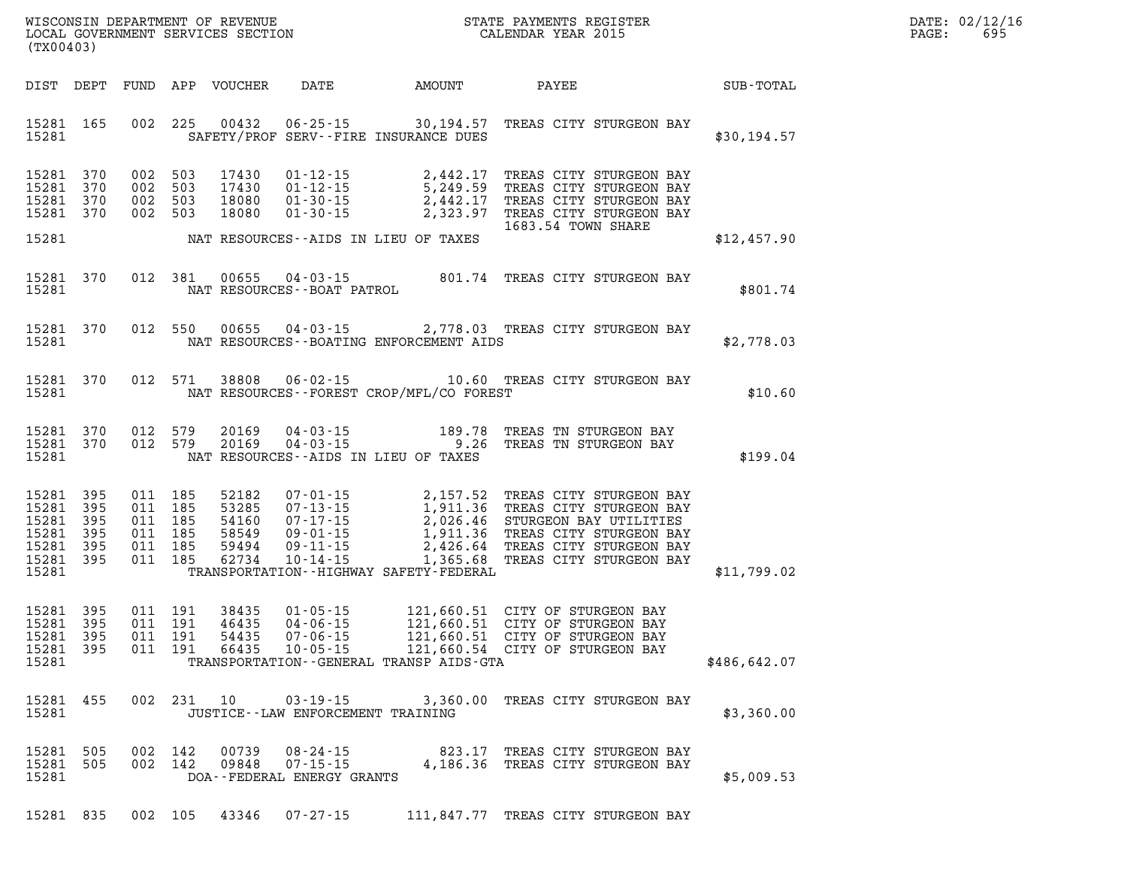| DATE: | 02/12/16 |
|-------|----------|
| PAGE: | 695      |

| WISCONSIN DEPARTMENT OF REVENUE<br>LOCAL GOVERNMENT SERVICES SECTION<br>CALENDAR YEAR 2015<br>(TX00403) |           |         |                                          |                                  |                                                                                |                                                                                                                                                                                                                                                                                                        |                    |                                                                    | $\mathbb{E} \mathbf{R}$ | DATE: 02/12/1<br>PAGE:<br>695 |
|---------------------------------------------------------------------------------------------------------|-----------|---------|------------------------------------------|----------------------------------|--------------------------------------------------------------------------------|--------------------------------------------------------------------------------------------------------------------------------------------------------------------------------------------------------------------------------------------------------------------------------------------------------|--------------------|--------------------------------------------------------------------|-------------------------|-------------------------------|
|                                                                                                         |           |         |                                          |                                  |                                                                                |                                                                                                                                                                                                                                                                                                        |                    |                                                                    |                         |                               |
| 15281 165<br>15281                                                                                      |           |         |                                          |                                  |                                                                                | 002 225 00432 06-25-15 30,194.57 TREAS CITY STURGEON BAY<br>SAFETY/PROF SERV--FIRE INSURANCE DUES                                                                                                                                                                                                      |                    |                                                                    | \$30,194.57             |                               |
| 15281 370<br>15281 370<br>15281 370<br>15281 370                                                        |           |         | 002 503<br>002 503<br>002 503            | 002 503 17430<br>18080           |                                                                                | 17430  01-12-15  2,442.17 TREAS CITY STURGEON BAY<br>17430  01-12-15  5,249.59 TREAS CITY STURGEON BAY<br>18080  01-30-15  2,442.17 TREAS CITY STURGEON BAY<br>18080  01-30-15  2,323.97 TREAS CITY STURGEON BAY                                                                                       |                    |                                                                    |                         |                               |
| 15281                                                                                                   |           |         |                                          |                                  |                                                                                | NAT RESOURCES--AIDS IN LIEU OF TAXES                                                                                                                                                                                                                                                                   | 1683.54 TOWN SHARE |                                                                    | \$12,457.90             |                               |
| 15281 370<br>15281                                                                                      |           |         | 012 381                                  |                                  | NAT RESOURCES--BOAT PATROL                                                     | $0.0655$ 04-03-15<br>RESOURCES--BOAT PATROL 801.74 TREAS CITY STURGEON BAY                                                                                                                                                                                                                             |                    |                                                                    | \$801.74                |                               |
| 15281 370<br>15281                                                                                      |           |         |                                          |                                  |                                                                                | 012 550 00655 04-03-15 2,778.03 TREAS CITY STURGEON BAY<br>NAT RESOURCES--BOATING ENFORCEMENT AIDS                                                                                                                                                                                                     |                    |                                                                    | \$2,778.03              |                               |
| 15281 370<br>15281                                                                                      |           |         |                                          |                                  |                                                                                | 012 571 38808 06-02-15 10.60 TREAS CITY STURGEON BAY<br>NAT RESOURCES - - FOREST CROP/MFL/CO FOREST                                                                                                                                                                                                    |                    |                                                                    | \$10.60                 |                               |
| 15281 370<br>15281                                                                                      | 15281 370 |         | 012 579<br>012 579                       |                                  |                                                                                | $\begin{array}{cccc} 20169 & 04\cdot 03\cdot 15 & \hspace*{1.5cm} 189.78 & \texttt{TREAS} & \texttt{TN} & \texttt{STURGEN} & \texttt{BAY} \\ 20169 & 04\cdot 03\cdot 15 & & 9.26 & \texttt{TREAS} & \texttt{TN} & \texttt{STURGEN} & \texttt{BAY} \end{array}$<br>NAT RESOURCES--AIDS IN LIEU OF TAXES |                    |                                                                    | \$199.04                |                               |
| 15281 395<br>15281 395<br>15281 395<br>15281 395<br>15281 395<br>15281 395<br>15281                     |           | 011 185 | 011 185<br>011 185<br>011 185<br>011 185 | 011 185 62734                    |                                                                                | 52182    07-01-15    2,157.52 TREAS CITY STURGEON BAY<br>53285    07-13-15    1,911.36 TREAS CITY STURGEON BAY<br>54160    07-17-15    2,026.46 STURGEON BAY UTILITIES<br>58549    09-01-15    1,911.36 TREAS CITY STURGEON BAY<br>59494<br>TRANSPORTATION - - HIGHWAY SAFETY - FEDERAL                |                    |                                                                    | \$11,799.02             |                               |
| 15281 395<br>15281 395<br>15281 395<br>15281 395<br>15281                                               |           |         | 011 191<br>011 191<br>011 191<br>011 191 | 38435<br>46435<br>54435<br>66435 |                                                                                | 01-05-15 121,660.51 CITY OF STURGEON BAY<br>04-06-15 121,660.51 CITY OF STURGEON BAY<br>07-06-15 121,660.51 CITY OF STURGEON BAY<br>10-05-15 121,660.54 CITY OF STURGEON BAY<br>TRANSPORTATION - - GENERAL TRANSP AIDS - GTA                                                                           |                    |                                                                    | \$486,642.07            |                               |
| 15281 455<br>15281                                                                                      |           |         |                                          |                                  | JUSTICE -- LAW ENFORCEMENT TRAINING                                            | 002 231 10 03-19-15 3,360.00 TREAS CITY STURGEON BAY                                                                                                                                                                                                                                                   |                    |                                                                    | \$3,360.00              |                               |
| 15281 505<br>15281                                                                                      | 15281 505 |         |                                          |                                  | 002 142 00739 08-24-15<br>002 142 09848 07-15-15<br>DOA--FEDERAL ENERGY GRANTS |                                                                                                                                                                                                                                                                                                        |                    | 823.17 TREAS CITY STURGEON BAY<br>4,186.36 TREAS CITY STURGEON BAY | \$5,009.53              |                               |
|                                                                                                         | 15281 835 | 002 105 |                                          |                                  | 43346 07-27-15                                                                 |                                                                                                                                                                                                                                                                                                        |                    | 111,847.77 TREAS CITY STURGEON BAY                                 |                         |                               |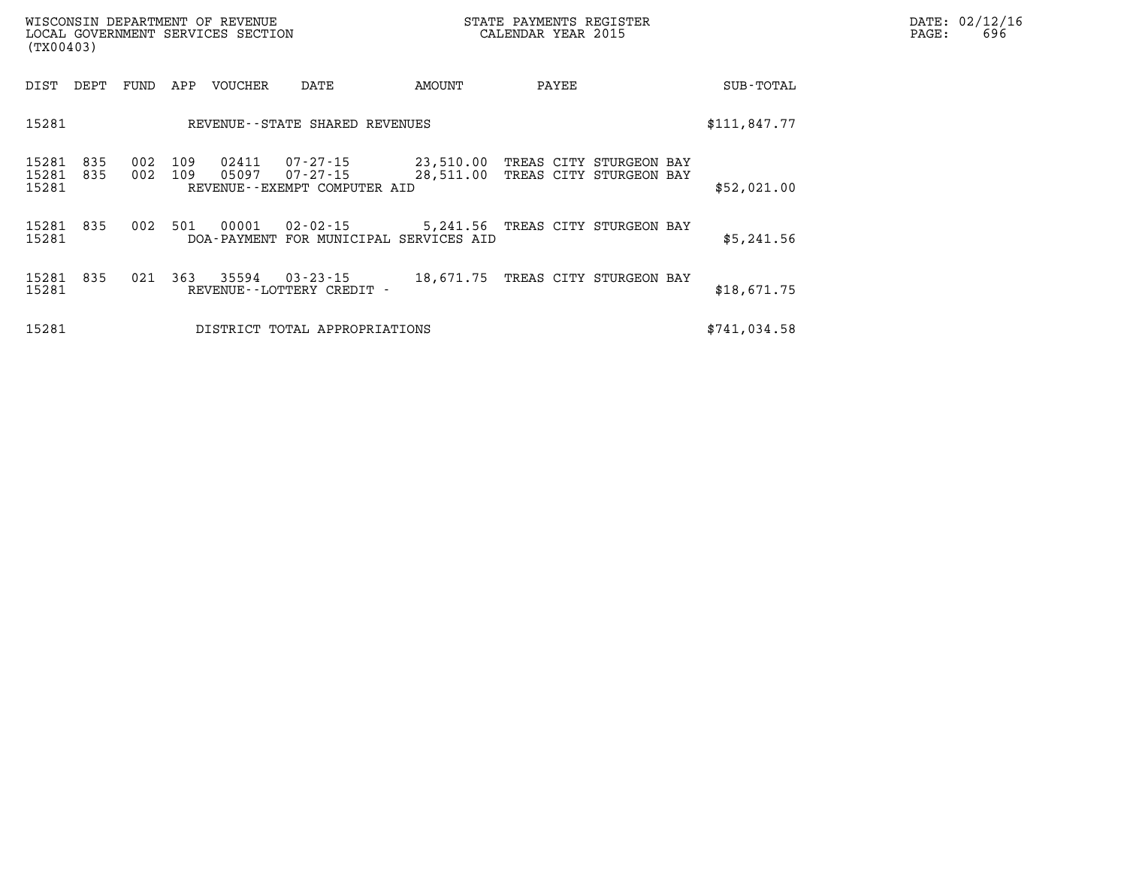| WISCONSIN DEPARTMENT OF REVENUE   | STATE PAYMENTS REGISTER | DATE: 02/12/16 |
|-----------------------------------|-------------------------|----------------|
| LOCAL GOVERNMENT SERVICES SECTION | CALENDAR YEAR 2015      | 696<br>PAGE:   |

| LOCAL GOVERNMENT SERVICES SECTION<br>(TX00403) |            |            |            |                |                                                            | CALENDAR YEAR 2015 | PAGE: | 696                                                          |              |  |  |
|------------------------------------------------|------------|------------|------------|----------------|------------------------------------------------------------|--------------------|-------|--------------------------------------------------------------|--------------|--|--|
| DIST                                           | DEPT       | FUND       | APP        | VOUCHER        | DATE                                                       | AMOUNT             | PAYEE |                                                              | SUB-TOTAL    |  |  |
| 15281<br>REVENUE--STATE SHARED REVENUES        |            |            |            |                |                                                            |                    |       |                                                              | \$111,847.77 |  |  |
| 15281<br>15281<br>15281                        | 835<br>835 | 002<br>002 | 109<br>109 | 02411<br>05097 | 07-27-15<br>$07 - 27 - 15$<br>REVENUE--EXEMPT COMPUTER AID | 23,510.00          |       | TREAS CITY STURGEON BAY<br>28,511.00 TREAS CITY STURGEON BAY | \$52,021.00  |  |  |
| 15281<br>15281                                 | 835        | 002        | 501        | 00001          | $02 - 02 - 15$<br>DOA-PAYMENT FOR MUNICIPAL SERVICES AID   |                    |       | 5,241.56 TREAS CITY STURGEON BAY                             | \$5,241.56   |  |  |
| 15281<br>15281                                 | 835        | 021        | 363        | 35594          | $03 - 23 - 15$<br>REVENUE - - LOTTERY CREDIT -             |                    |       | 18,671.75 TREAS CITY STURGEON BAY                            | \$18,671.75  |  |  |
| 15281                                          |            |            |            |                | DISTRICT TOTAL APPROPRIATIONS                              |                    |       |                                                              | \$741,034.58 |  |  |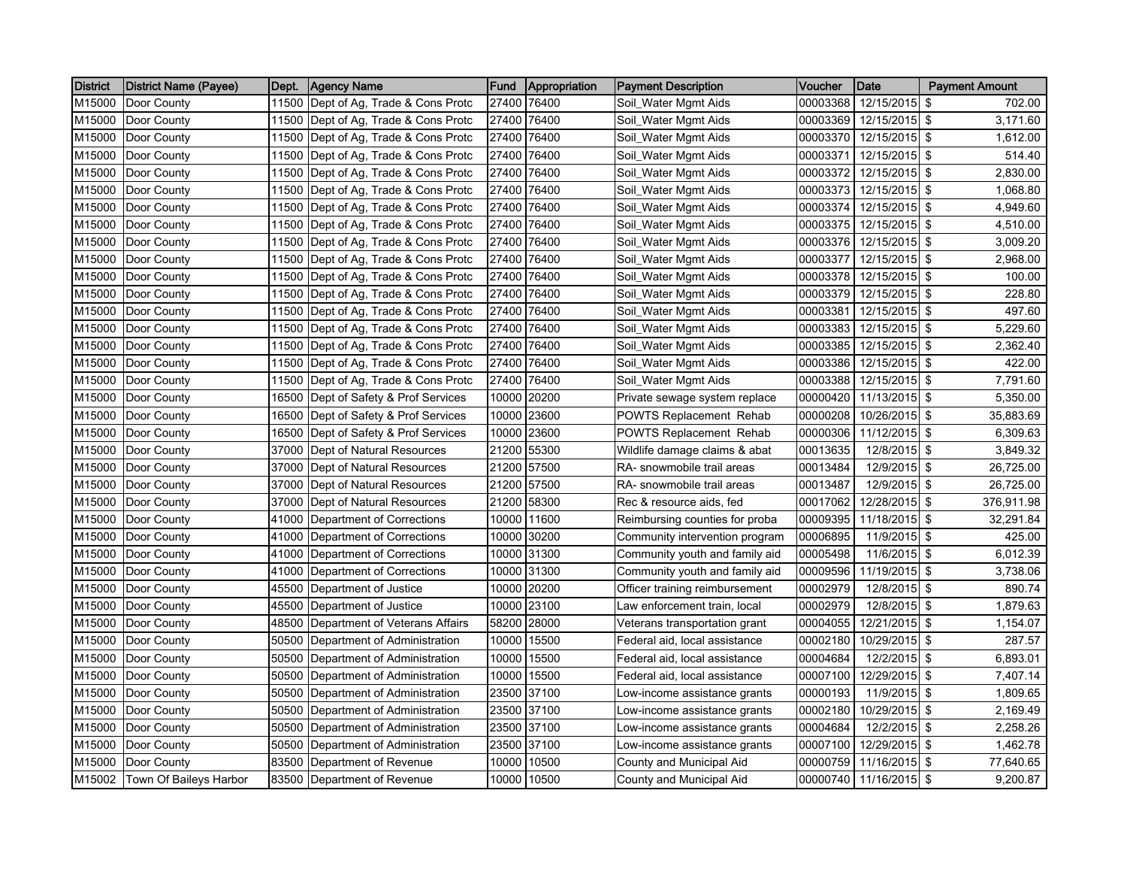| <b>District</b> | (District Name (Payee) | Dept. | Agency Name                          | <b>Fund</b> | Appropriation | <b>Payment Description</b>     | Voucher  | Date                   | <b>Payment Amount</b> |            |
|-----------------|------------------------|-------|--------------------------------------|-------------|---------------|--------------------------------|----------|------------------------|-----------------------|------------|
| M15000          | Door County            | 11500 | Dept of Ag, Trade & Cons Protc       | 27400       | 76400         | Soil Water Mgmt Aids           | 00003368 | 12/15/2015 \$          |                       | 702.00     |
| M15000          | Door County            | 11500 | Dept of Ag, Trade & Cons Protc       |             | 27400 76400   | Soil_Water Mgmt Aids           | 00003369 | 12/15/2015 \$          |                       | 3,171.60   |
| M15000          | Door County            | 11500 | Dept of Ag, Trade & Cons Protc       | 27400       | 76400         | Soil_Water Mgmt Aids           | 00003370 | 12/15/2015 \$          |                       | 1,612.00   |
| M15000          | Door County            | 11500 | Dept of Ag, Trade & Cons Protc       | 27400       | 76400         | Soil_Water Mgmt Aids           | 00003371 | 12/15/2015 \$          |                       | 514.40     |
| M15000          | Door County            |       | 11500 Dept of Ag, Trade & Cons Protc |             | 27400 76400   | Soil_Water Mgmt Aids           | 00003372 | 12/15/2015 \$          |                       | 2,830.00   |
| M15000          | Door County            | 11500 | Dept of Ag, Trade & Cons Protc       |             | 27400 76400   | Soil_Water Mgmt Aids           | 00003373 | 12/15/2015 \$          |                       | 1,068.80   |
| M15000          | Door County            | 11500 | Dept of Ag, Trade & Cons Protc       | 27400       | 76400         | Soil_Water Mgmt Aids           | 00003374 | 12/15/2015 \$          |                       | 4,949.60   |
| M15000          | Door County            | 11500 | Dept of Ag, Trade & Cons Protc       |             | 27400 76400   | Soil_Water Mgmt Aids           | 00003375 | 12/15/2015 \$          |                       | 4,510.00   |
| M15000          | Door County            | 11500 | Dept of Ag, Trade & Cons Protc       |             | 27400 76400   | Soil_Water Mgmt Aids           | 00003376 | 12/15/2015 \$          |                       | 3,009.20   |
| M15000          | Door County            | 11500 | Dept of Ag, Trade & Cons Protc       |             | 27400 76400   | Soil_Water Mgmt Aids           | 00003377 | 12/15/2015 \$          |                       | 2,968.00   |
| M15000          | Door County            |       | 11500 Dept of Ag, Trade & Cons Protc |             | 27400 76400   | Soil_Water Mgmt Aids           | 00003378 | 12/15/2015 \$          |                       | 100.00     |
| M15000          | Door County            |       | 11500 Dept of Ag, Trade & Cons Protc |             | 27400 76400   | Soil_Water Mgmt Aids           | 00003379 | 12/15/2015 \$          |                       | 228.80     |
| M15000          | Door County            | 11500 | Dept of Ag, Trade & Cons Protc       |             | 27400 76400   | Soil_Water Mgmt Aids           | 00003381 | 12/15/2015 \$          |                       | 497.60     |
| M15000          | Door County            | 11500 | Dept of Ag, Trade & Cons Protc       | 27400       | 76400         | Soil_Water Mgmt Aids           | 00003383 | 12/15/2015 \$          |                       | 5,229.60   |
| M15000          | Door County            | 11500 | Dept of Ag, Trade & Cons Protc       | 27400       | 76400         | Soil_Water Mgmt Aids           | 00003385 | 12/15/2015 \$          |                       | 2,362.40   |
| M15000          | Door County            | 11500 | Dept of Ag, Trade & Cons Protc       | 27400       | 76400         | Soil_Water Mgmt Aids           | 00003386 | 12/15/2015 \$          |                       | 422.00     |
| M15000          | Door County            | 11500 | Dept of Ag, Trade & Cons Protc       |             | 27400 76400   | Soil_Water Mgmt Aids           | 00003388 | 12/15/2015 \$          |                       | 7,791.60   |
| M15000          | Door County            |       | 16500 Dept of Safety & Prof Services | 10000       | 20200         | Private sewage system replace  | 00000420 | 11/13/2015 \$          |                       | 5,350.00   |
| M15000          | Door County            | 16500 | Dept of Safety & Prof Services       | 10000       | 23600         | POWTS Replacement Rehab        | 00000208 | 10/26/2015 \$          |                       | 35,883.69  |
| M15000          | Door County            | 16500 | Dept of Safety & Prof Services       |             | 10000 23600   | POWTS Replacement Rehab        | 00000306 | 11/12/2015 \$          |                       | 6,309.63   |
| M15000          | Door County            | 37000 | Dept of Natural Resources            |             | 21200 55300   | Wildlife damage claims & abat  | 00013635 | 12/8/2015 \$           |                       | 3,849.32   |
| M15000          | Door County            | 37000 | Dept of Natural Resources            |             | 21200 57500   | RA- snowmobile trail areas     | 00013484 | 12/9/2015 \$           |                       | 26,725.00  |
| M15000          | Door County            | 37000 | Dept of Natural Resources            |             | 21200 57500   | RA- snowmobile trail areas     | 00013487 | 12/9/2015 \$           |                       | 26,725.00  |
| M15000          | Door County            | 37000 | Dept of Natural Resources            |             | 21200 58300   | Rec & resource aids, fed       | 00017062 | 12/28/2015 \$          |                       | 376,911.98 |
| M15000          | Door County            | 41000 | Department of Corrections            | 10000       | 11600         | Reimbursing counties for proba | 00009395 | 11/18/2015 \$          |                       | 32,291.84  |
| M15000          | Door County            | 41000 | Department of Corrections            | 10000       | 30200         | Community intervention program | 00006895 | 11/9/2015 \$           |                       | 425.00     |
| M15000          | Door County            | 41000 | Department of Corrections            |             | 10000 31300   | Community youth and family aid | 00005498 | 11/6/2015 \$           |                       | 6,012.39   |
| M15000          | Door County            | 41000 | Department of Corrections            |             | 10000 31300   | Community youth and family aid | 00009596 | 11/19/2015 \$          |                       | 3,738.06   |
| M15000          | Door County            | 45500 | Department of Justice                |             | 10000 20200   | Officer training reimbursement | 00002979 | 12/8/2015 \$           |                       | 890.74     |
| M15000          | Door County            | 45500 | Department of Justice                |             | 10000 23100   | Law enforcement train, local   | 00002979 | 12/8/2015 \$           |                       | 1,879.63   |
| M15000          | Door County            | 48500 | Department of Veterans Affairs       |             | 58200 28000   | Veterans transportation grant  | 00004055 | 12/21/2015 \$          |                       | 1,154.07   |
| M15000          | Door County            | 50500 | Department of Administration         |             | 10000 15500   | Federal aid, local assistance  | 00002180 | 10/29/2015 \$          |                       | 287.57     |
| M15000          | Door County            | 50500 | Department of Administration         |             | 10000 15500   | Federal aid, local assistance  | 00004684 | 12/2/2015 \$           |                       | 6,893.01   |
| M15000          | Door County            | 50500 | Department of Administration         |             | 10000 15500   | Federal aid, local assistance  | 00007100 | 12/29/2015 \$          |                       | 7,407.14   |
| M15000          | Door County            | 50500 | Department of Administration         |             | 23500 37100   | Low-income assistance grants   | 00000193 | 11/9/2015 \$           |                       | 1,809.65   |
| M15000          | Door County            | 50500 | Department of Administration         | 23500       | 37100         | Low-income assistance grants   | 00002180 | 10/29/2015 \$          |                       | 2,169.49   |
| M15000          | Door County            | 50500 | Department of Administration         |             | 23500 37100   | Low-income assistance grants   | 00004684 | 12/2/2015 \$           |                       | 2,258.26   |
| M15000          | Door County            | 50500 | Department of Administration         | 23500       | 37100         | Low-income assistance grants   | 00007100 | 12/29/2015 \$          |                       | 1,462.78   |
| M15000          | Door County            | 83500 | Department of Revenue                |             | 10000 10500   | County and Municipal Aid       | 00000759 | 11/16/2015 \$          |                       | 77,640.65  |
| M15002          | Town Of Baileys Harbor |       | 83500 Department of Revenue          |             | 10000 10500   | County and Municipal Aid       |          | 00000740 11/16/2015 \$ |                       | 9,200.87   |